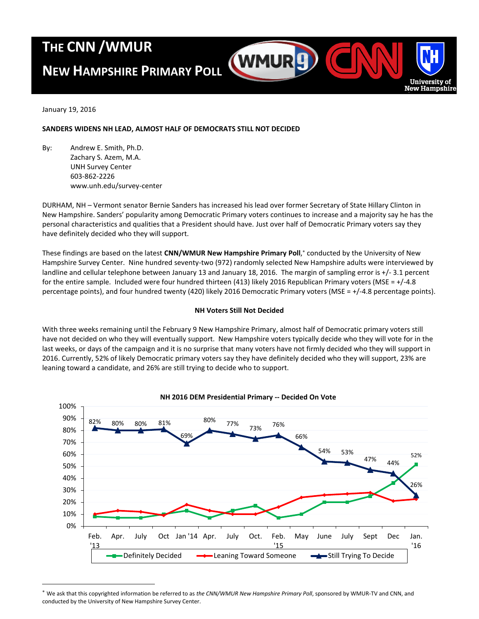# **THE CNN /WMUR**

# **NEW HAMPSHIRE PRIMARY POLL**

January 19, 2016

 $\overline{a}$ 

## **SANDERS WIDENS NH LEAD, ALMOST HALF OF DEMOCRATS STILL NOT DECIDED**

By: Andrew E. Smith, Ph.D. Zachary S. Azem, M.A. UNH Survey Center 603-862-2226 www.unh.edu/survey-center

DURHAM, NH – Vermont senator Bernie Sanders has increased his lead over former Secretary of State Hillary Clinton in New Hampshire. Sanders' popularity among Democratic Primary voters continues to increase and a majority say he has the personal characteristics and qualities that a President should have. Just over half of Democratic Primary voters say they have definitely decided who they will support.

(WMUR<sup>g</sup>)

Univ **New Hamp** 

These findings are based on the latest **CNN/WMUR New Hampshire Primary Poll**, conducted by the University of New Hampshire Survey Center. Nine hundred seventy-two (972) randomly selected New Hampshire adults were interviewed by landline and cellular telephone between January 13 and January 18, 2016. The margin of sampling error is +/- 3.1 percent for the entire sample. Included were four hundred thirteen (413) likely 2016 Republican Primary voters (MSE =  $+/-4.8$ percentage points), and four hundred twenty (420) likely 2016 Democratic Primary voters (MSE = +/-4.8 percentage points).

#### **NH Voters Still Not Decided**

With three weeks remaining until the February 9 New Hampshire Primary, almost half of Democratic primary voters still have not decided on who they will eventually support. New Hampshire voters typically decide who they will vote for in the last weeks, or days of the campaign and it is no surprise that many voters have not firmly decided who they will support in 2016. Currently, 52% of likely Democratic primary voters say they have definitely decided who they will support, 23% are leaning toward a candidate, and 26% are still trying to decide who to support.



**NH 2016 DEM Presidential Primary -- Decided On Vote**

We ask that this copyrighted information be referred to as *the CNN/WMUR New Hampshire Primary Poll*, sponsored by WMUR-TV and CNN, and conducted by the University of New Hampshire Survey Center.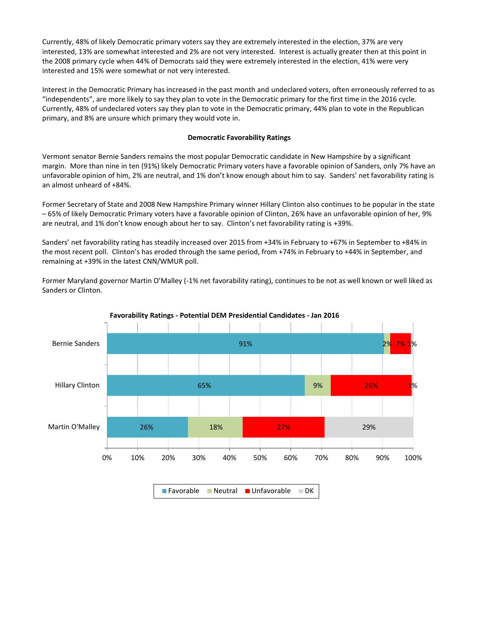Currently, 48% of likely Democratic primary voters say they are extremely interested in the election, 37% are very interested, 13% are somewhat interested and 2% are not very interested. Interest is actually greater then at this point in the 2008 primary cycle when 44% of Democrats said they were extremely interested in the election, 41% were very interested and 15% were somewhat or not very interested.

Interest in the Democratic Primary has increased in the past month and undeclared voters, often erroneously referred to as "independents", are more likely to say they plan to vote in the Democratic primary for the first time in the 2016 cycle. Currently, 48% of undeclared voters say they plan to vote in the Democratic primary, 44% plan to vote in the Republican primary, and 8% are unsure which primary they would vote in.

## **Democratic Favorability Ratings**

Vermont senator Bernie Sanders remains the most popular Democratic candidate in New Hampshire by a significant margin. More than nine in ten (91%) likely Democratic Primary voters have a favorable opinion of Sanders, only 7% have an unfavorable opinion of him, 2% are neutral, and 1% don't know enough about him to say. Sanders' net favorability rating is an almost unheard of +84%.

Former Secretary of State and 2008 New Hampshire Primary winner Hillary Clinton also continues to be popular in the state – 65% of likely Democratic Primary voters have a favorable opinion of Clinton, 26% have an unfavorable opinion of her, 9% are neutral, and 1% don't know enough about her to say. Clinton's net favorability rating is +39%.

Sanders' net favorability rating has steadily increased over 2015 from +34% in February to +67% in September to +84% in the most recent poll. Clinton's has eroded through the same period, from +74% in February to +44% in September, and remaining at +39% in the latest CNN/WMUR poll.

Former Maryland governor Martin O'Malley (-1% net favorability rating), continues to be not as well known or well liked as Sanders or Clinton.



**Favorability Ratings - Potential DEM Presidential Candidates - Jan 2016**

Favorable Neutral Unfavorable DK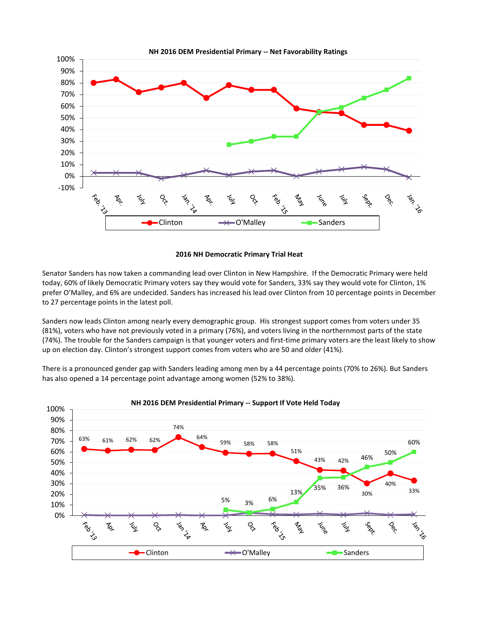

## **2016 NH Democratic Primary Trial Heat**

Senator Sanders has now taken a commanding lead over Clinton in New Hampshire. If the Democratic Primary were held today, 60% of likely Democratic Primary voters say they would vote for Sanders, 33% say they would vote for Clinton, 1% prefer O'Malley, and 6% are undecided. Sanders has increased his lead over Clinton from 10 percentage points in December to 27 percentage points in the latest poll.

Sanders now leads Clinton among nearly every demographic group. His strongest support comes from voters under 35 (81%), voters who have not previously voted in a primary (76%), and voters living in the northernmost parts of the state (74%). The trouble for the Sanders campaign is that younger voters and first-time primary voters are the least likely to show up on election day. Clinton's strongest support comes from voters who are 50 and older (41%).

There is a pronounced gender gap with Sanders leading among men by a 44 percentage points (70% to 26%). But Sanders has also opened a 14 percentage point advantage among women (52% to 38%).

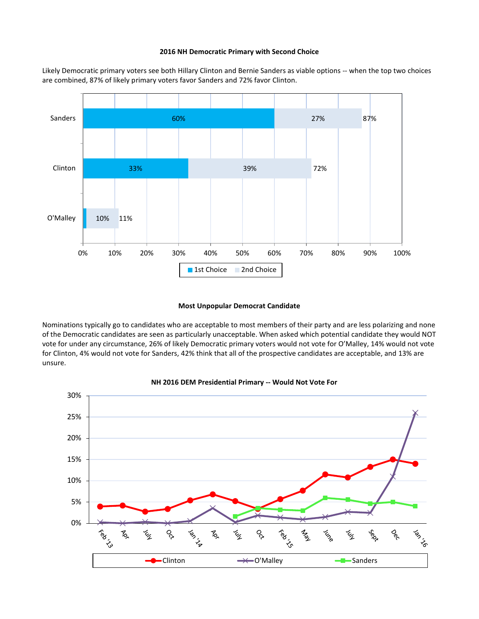#### **2016 NH Democratic Primary with Second Choice**

Likely Democratic primary voters see both Hillary Clinton and Bernie Sanders as viable options -- when the top two choices are combined, 87% of likely primary voters favor Sanders and 72% favor Clinton.



#### **Most Unpopular Democrat Candidate**

Nominations typically go to candidates who are acceptable to most members of their party and are less polarizing and none of the Democratic candidates are seen as particularly unacceptable. When asked which potential candidate they would NOT vote for under any circumstance, 26% of likely Democratic primary voters would not vote for O'Malley, 14% would not vote for Clinton, 4% would not vote for Sanders, 42% think that all of the prospective candidates are acceptable, and 13% are unsure.



## **NH 2016 DEM Presidential Primary -- Would Not Vote For**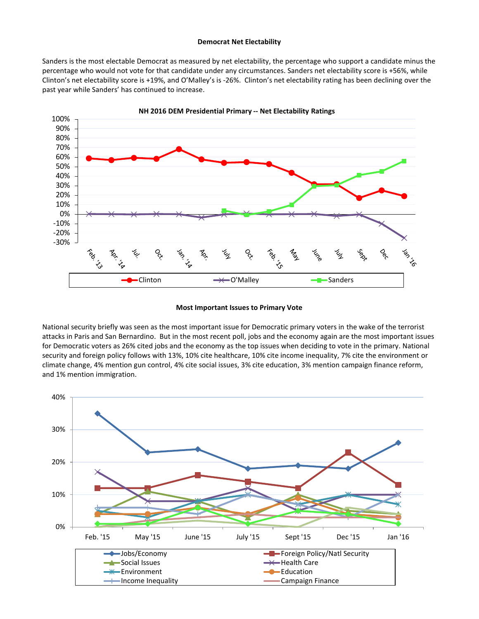#### **Democrat Net Electability**

Sanders is the most electable Democrat as measured by net electability, the percentage who support a candidate minus the percentage who would not vote for that candidate under any circumstances. Sanders net electability score is +56%, while Clinton's net electability score is +19%, and O'Malley's is -26%. Clinton's net electability rating has been declining over the past year while Sanders' has continued to increase.



#### **Most Important Issues to Primary Vote**

National security briefly was seen as the most important issue for Democratic primary voters in the wake of the terrorist attacks in Paris and San Bernardino. But in the most recent poll, jobs and the economy again are the most important issues for Democratic voters as 26% cited jobs and the economy as the top issues when deciding to vote in the primary. National security and foreign policy follows with 13%, 10% cite healthcare, 10% cite income inequality, 7% cite the environment or climate change, 4% mention gun control, 4% cite social issues, 3% cite education, 3% mention campaign finance reform, and 1% mention immigration.

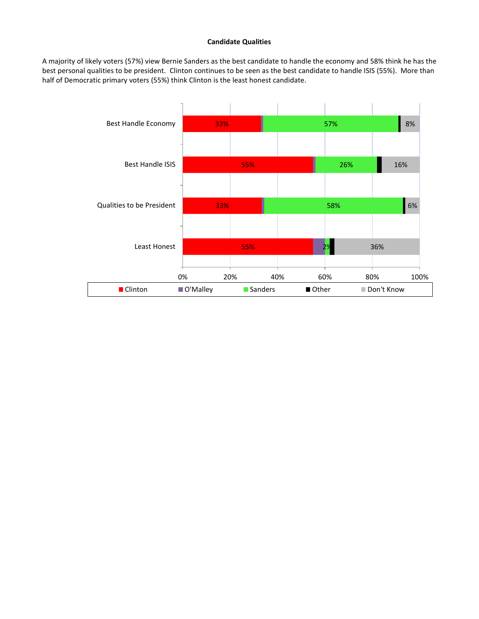#### **Candidate Qualities**

A majority of likely voters (57%) view Bernie Sanders as the best candidate to handle the economy and 58% think he has the best personal qualities to be president. Clinton continues to be seen as the best candidate to handle ISIS (55%). More than half of Democratic primary voters (55%) think Clinton is the least honest candidate.

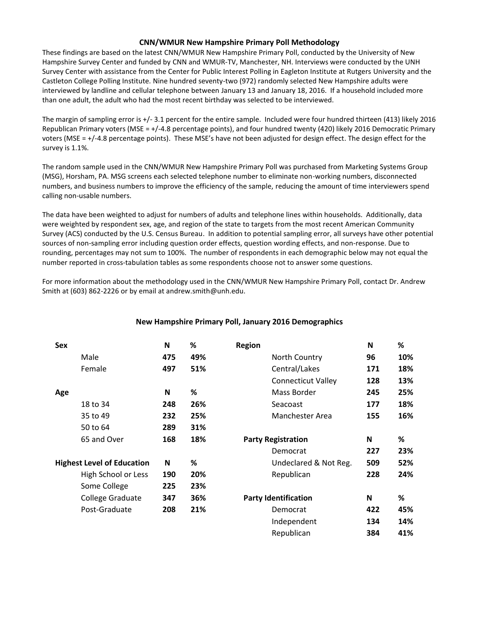## **CNN/WMUR New Hampshire Primary Poll Methodology**

These findings are based on the latest CNN/WMUR New Hampshire Primary Poll, conducted by the University of New Hampshire Survey Center and funded by CNN and WMUR-TV, Manchester, NH. Interviews were conducted by the UNH Survey Center with assistance from the Center for Public Interest Polling in Eagleton Institute at Rutgers University and the Castleton College Polling Institute. Nine hundred seventy-two (972) randomly selected New Hampshire adults were interviewed by landline and cellular telephone between January 13 and January 18, 2016. If a household included more than one adult, the adult who had the most recent birthday was selected to be interviewed.

The margin of sampling error is +/- 3.1 percent for the entire sample. Included were four hundred thirteen (413) likely 2016 Republican Primary voters (MSE = +/-4.8 percentage points), and four hundred twenty (420) likely 2016 Democratic Primary voters (MSE = +/-4.8 percentage points). These MSE's have not been adjusted for design effect. The design effect for the survey is 1.1%.

The random sample used in the CNN/WMUR New Hampshire Primary Poll was purchased from Marketing Systems Group (MSG), Horsham, PA. MSG screens each selected telephone number to eliminate non-working numbers, disconnected numbers, and business numbers to improve the efficiency of the sample, reducing the amount of time interviewers spend calling non-usable numbers.

The data have been weighted to adjust for numbers of adults and telephone lines within households. Additionally, data were weighted by respondent sex, age, and region of the state to targets from the most recent American Community Survey (ACS) conducted by the U.S. Census Bureau. In addition to potential sampling error, all surveys have other potential sources of non-sampling error including question order effects, question wording effects, and non-response. Due to rounding, percentages may not sum to 100%. The number of respondents in each demographic below may not equal the number reported in cross-tabulation tables as some respondents choose not to answer some questions.

For more information about the methodology used in the CNN/WMUR New Hampshire Primary Poll, contact Dr. Andrew Smith at (603) 862-2226 or by email at andrew.smith@unh.edu.

| <b>Sex</b> |                                   | N   | %   | <b>Region</b>               | N   | %   |
|------------|-----------------------------------|-----|-----|-----------------------------|-----|-----|
|            | Male                              | 475 | 49% | North Country               | 96  | 10% |
|            | Female                            | 497 | 51% | Central/Lakes               | 171 | 18% |
|            |                                   |     |     | <b>Connecticut Valley</b>   | 128 | 13% |
| Age        |                                   | N   | %   | Mass Border                 | 245 | 25% |
|            | 18 to 34                          | 248 | 26% | Seacoast                    | 177 | 18% |
|            | 35 to 49                          | 232 | 25% | Manchester Area             | 155 | 16% |
|            | 50 to 64                          | 289 | 31% |                             |     |     |
|            | 65 and Over                       | 168 | 18% | <b>Party Registration</b>   | N   | %   |
|            |                                   |     |     | Democrat                    | 227 | 23% |
|            | <b>Highest Level of Education</b> | N   | %   | Undeclared & Not Reg.       | 509 | 52% |
|            | High School or Less               | 190 | 20% | Republican                  | 228 | 24% |
|            | Some College                      | 225 | 23% |                             |     |     |
|            | College Graduate                  | 347 | 36% | <b>Party Identification</b> | N   | %   |
|            | Post-Graduate                     | 208 | 21% | Democrat                    | 422 | 45% |
|            |                                   |     |     | Independent                 | 134 | 14% |
|            |                                   |     |     | Republican                  | 384 | 41% |

## **New Hampshire Primary Poll, January 2016 Demographics**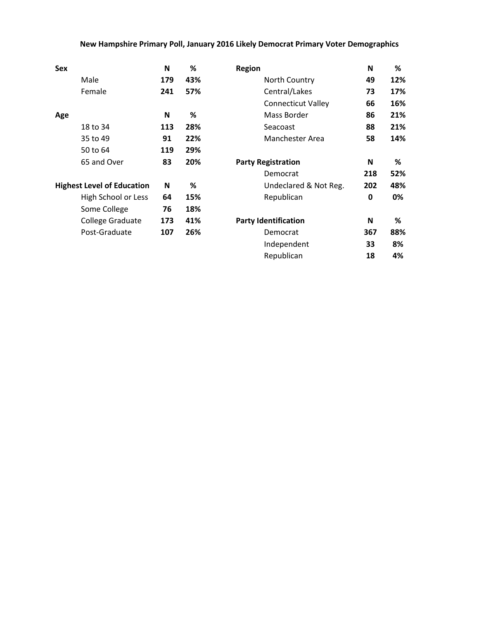## **New Hampshire Primary Poll, January 2016 Likely Democrat Primary Voter Demographics**

| <b>Sex</b> |                                   | N   | %   | <b>Region</b>               | N   | %   |
|------------|-----------------------------------|-----|-----|-----------------------------|-----|-----|
|            | Male                              | 179 | 43% | North Country               | 49  | 12% |
|            | Female                            | 241 | 57% | Central/Lakes               | 73  | 17% |
|            |                                   |     |     | <b>Connecticut Valley</b>   | 66  | 16% |
| Age        |                                   | N   | %   | Mass Border                 | 86  | 21% |
|            | 18 to 34                          | 113 | 28% | Seacoast                    | 88  | 21% |
|            | 35 to 49                          | 91  | 22% | Manchester Area             | 58  | 14% |
|            | 50 to 64                          | 119 | 29% |                             |     |     |
|            | 65 and Over                       | 83  | 20% | <b>Party Registration</b>   | N   | %   |
|            |                                   |     |     | Democrat                    | 218 | 52% |
|            | <b>Highest Level of Education</b> | N   | %   | Undeclared & Not Reg.       | 202 | 48% |
|            | High School or Less               | 64  | 15% | Republican                  | 0   | 0%  |
|            | Some College                      | 76  | 18% |                             |     |     |
|            | College Graduate                  | 173 | 41% | <b>Party Identification</b> | N   | %   |
|            | Post-Graduate                     | 107 | 26% | Democrat                    | 367 | 88% |
|            |                                   |     |     | Independent                 | 33  | 8%  |
|            |                                   |     |     | Republican                  | 18  | 4%  |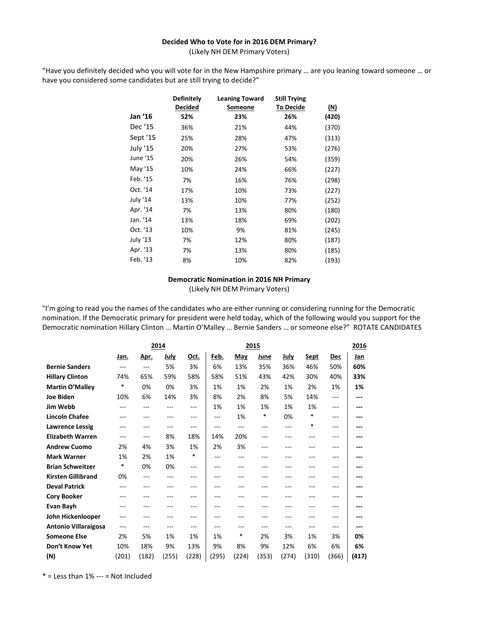#### **Decided Who to Vote for in 2016 DEM Primary?**

(Likely NH DEM Primary Voters)

"Have you definitely decided who you will vote for in the New Hampshire primary … are you leaning toward someone … or have you considered some candidates but are still trying to decide?"

|          | <b>Definitely</b><br><b>Decided</b> | <b>Leaning Toward</b><br><u>Someone</u> | <b>Still Trying</b><br><u>To Decide</u> | <u>(N)</u> |
|----------|-------------------------------------|-----------------------------------------|-----------------------------------------|------------|
| Jan '16  | 52%                                 | 23%                                     | 26%                                     | (420)      |
| Dec '15  | 36%                                 | 21%                                     | 44%                                     | (370)      |
| Sept '15 | 25%                                 | 28%                                     | 47%                                     | (313)      |
| July '15 | 20%                                 | 27%                                     | 53%                                     | (276)      |
| June '15 | 20%                                 | 26%                                     | 54%                                     | (359)      |
| May '15  | 10%                                 | 24%                                     | 66%                                     | (227)      |
| Feb. '15 | 7%                                  | 16%                                     | 76%                                     | (298)      |
| Oct. '14 | 17%                                 | 10%                                     | 73%                                     | (227)      |
| July '14 | 13%                                 | 10%                                     | 77%                                     | (252)      |
| Apr. '14 | 7%                                  | 13%                                     | 80%                                     | (180)      |
| Jan. '14 | 13%                                 | 18%                                     | 69%                                     | (202)      |
| Oct. '13 | 10%                                 | 9%                                      | 81%                                     | (245)      |
| July '13 | 7%                                  | 12%                                     | 80%                                     | (187)      |
| Apr. '13 | 7%                                  | 13%                                     | 80%                                     | (185)      |
| Feb. '13 | 8%                                  | 10%                                     | 82%                                     | (193)      |

## **Democratic Nomination in 2016 NH Primary**

(Likely NH DEM Primary Voters)

"I'm going to read you the names of the candidates who are either running or considering running for the Democratic nomination. If the Democratic primary for president were held today, which of the following would you support for the Democratic nomination Hillary Clinton … Martin O'Malley … Bernie Sanders … or someone else?" ROTATE CANDIDATES

|                             | 2014  |             |       |        | 2015  |       |       |             |             |       | 2016  |
|-----------------------------|-------|-------------|-------|--------|-------|-------|-------|-------------|-------------|-------|-------|
|                             | Jan.  | <u>Apr.</u> | July  | Oct.   | Feb.  | May   | June  | <u>July</u> | <u>Sept</u> | Dec   | Jan   |
| <b>Bernie Sanders</b>       | $---$ | $---$       | 5%    | 3%     | 6%    | 13%   | 35%   | 36%         | 46%         | 50%   | 60%   |
| <b>Hillary Clinton</b>      | 74%   | 65%         | 59%   | 58%    | 58%   | 51%   | 43%   | 42%         | 30%         | 40%   | 33%   |
| Martin O'Malley             | *     | 0%          | 0%    | 3%     | 1%    | 1%    | 2%    | 1%          | 2%          | 1%    | 1%    |
| <b>Joe Biden</b>            | 10%   | 6%          | 14%   | 3%     | 8%    | 2%    | 8%    | 5%          | 14%         | ---   | ---   |
| Jim Webb                    |       | ---         | ---   | ---    | 1%    | 1%    | 1%    | 1%          | 1%          | ---   | ---   |
| <b>Lincoln Chafee</b>       | ---   | ---         | ---   | ---    | ---   | 1%    | *     | 0%          | *           | ---   |       |
| <b>Lawrence Lessig</b>      | ---   | $---$       | ---   | ---    | $---$ | $---$ | $---$ | $---$       | *           | $---$ | ---   |
| <b>Elizabeth Warren</b>     | ---   | ---         | 8%    | 18%    | 14%   | 20%   | $---$ | ---         | ---         | ---   | ---   |
| <b>Andrew Cuomo</b>         | 2%    | 4%          | 3%    | 1%     | 2%    | 3%    | ---   | ---         | ---         | ---   | ---   |
| <b>Mark Warner</b>          | 1%    | 2%          | 1%    | $\ast$ | ---   | ---   | $---$ | ---         | ---         | ---   | ---   |
| <b>Brian Schweitzer</b>     | *     | 0%          | 0%    | ---    | ---   | ---   | ---   | ---         | ---         | ---   | ---   |
| <b>Kirsten Gillibrand</b>   | 0%    | ---         | ---   | ---    | ---   | ---   | $---$ | ---         | ---         | ---   | ---   |
| <b>Deval Patrick</b>        | ---   | ---         |       | ---    | ---   | ---   | ---   |             |             | ---   | ---   |
| <b>Cory Booker</b>          | ---   | ---         | ---   | ---    | ---   | ---   | ---   | ---         | ---         | ---   | ---   |
| <b>Evan Bayh</b>            | ---   | ---         | ---   | ---    | ---   | ---   | ---   | ---         | ---         | ---   | ---   |
| John Hickenlooper           |       | ---         | ---   | ---    |       | ---   | ---   |             |             |       |       |
| <b>Antonio Villaraigosa</b> | ---   | ---         | $---$ | ---    | ---   | ---   | $---$ | ---         | $---$       | ---   | ---   |
| <b>Someone Else</b>         | 2%    | 5%          | 1%    | 1%     | 1%    | *     | 2%    | 3%          | 1%          | 3%    | 0%    |
| Don't Know Yet              | 10%   | 18%         | 9%    | 13%    | 9%    | 8%    | 9%    | 12%         | 6%          | 6%    | 6%    |
| (N)                         | (201) | (182)       | (255) | (228)  | (295) | (224) | (353) | (274)       | (310)       | (366) | (417) |

 $*$  = Less than 1% --- = Not Included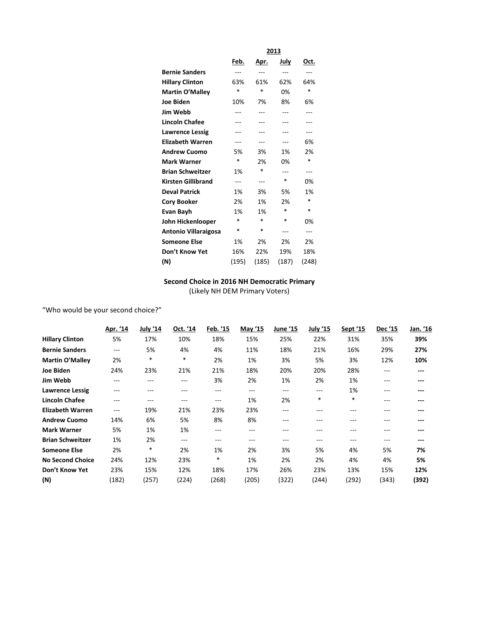|                             | <u> 2013</u> |        |             |       |  |  |
|-----------------------------|--------------|--------|-------------|-------|--|--|
|                             | <u>Feb.</u>  | Apr.   | <u>July</u> | Oct.  |  |  |
| <b>Bernie Sanders</b>       | ---          |        | ---         | ---   |  |  |
| <b>Hillary Clinton</b>      | 63%          | 61%    | 62%         | 64%   |  |  |
| Martin O'Malley             | *            | $\ast$ | 0%          | *     |  |  |
| <b>Joe Biden</b>            | 10%          | 7%     | 8%          | 6%    |  |  |
| <b>Jim Webb</b>             |              | ---    |             | ---   |  |  |
| <b>Lincoln Chafee</b>       | ---          | ---    | ---         | ---   |  |  |
| <b>Lawrence Lessig</b>      |              |        |             | ---   |  |  |
| <b>Elizabeth Warren</b>     | ---          | ---    | ---         | 6%    |  |  |
| <b>Andrew Cuomo</b>         | 5%           | 3%     | 1%          | 2%    |  |  |
| <b>Mark Warner</b>          | $\ast$       | 2%     | 0%          | *     |  |  |
| <b>Brian Schweitzer</b>     | 1%           | *      | ---         | ---   |  |  |
| <b>Kirsten Gillibrand</b>   | ---          | ---    | $\ast$      | 0%    |  |  |
| <b>Deval Patrick</b>        | 1%           | 3%     | 5%          | 1%    |  |  |
| <b>Cory Booker</b>          | 2%           | 1%     | 2%          | *     |  |  |
| Evan Bayh                   | 1%           | 1%     | $\ast$      | *     |  |  |
| John Hickenlooper           | *            | *      | *           | 0%    |  |  |
| <b>Antonio Villaraigosa</b> | *            | *      | ---         | ---   |  |  |
| <b>Someone Else</b>         | 1%           | 2%     | 2%          | 2%    |  |  |
| Don't Know Yet              | 16%          | 22%    | 19%         | 18%   |  |  |
| (N)                         | (195)        | (185)  | (187)       | (248) |  |  |

## **Second Choice in 2016 NH Democratic Primary** (Likely NH DEM Primary Voters)

"Who would be your second choice?"

|                         | Apr. '14 | July '14 | Oct. '14 | Feb. '15 | May '15 | June '15 | July '15 | Sept '15 | Dec '15 | Jan. '16 |
|-------------------------|----------|----------|----------|----------|---------|----------|----------|----------|---------|----------|
| <b>Hillary Clinton</b>  | 5%       | 17%      | 10%      | 18%      | 15%     | 25%      | 22%      | 31%      | 35%     | 39%      |
| <b>Bernie Sanders</b>   | ---      | 5%       | 4%       | 4%       | 11%     | 18%      | 21%      | 16%      | 29%     | 27%      |
| <b>Martin O'Malley</b>  | 2%       | $\ast$   | $\ast$   | 2%       | 1%      | 3%       | 5%       | 3%       | 12%     | 10%      |
| Joe Biden               | 24%      | 23%      | 21%      | 21%      | 18%     | 20%      | 20%      | 28%      | $---$   | $---$    |
| Jim Webb                | ---      | ---      | ---      | 3%       | 2%      | 1%       | 2%       | 1%       | $---$   | ---      |
| <b>Lawrence Lessig</b>  | ---      | ---      | ---      | ---      | $---$   | ---      | ---      | 1%       | ---     | ---      |
| <b>Lincoln Chafee</b>   | ---      | ---      | ---      | $---$    | 1%      | 2%       | $\ast$   | $\ast$   | ---     | ---      |
| <b>Elizabeth Warren</b> | ---      | 19%      | 21%      | 23%      | 23%     | ---      | ---      | ---      | ---     | ---      |
| <b>Andrew Cuomo</b>     | 14%      | 6%       | 5%       | 8%       | 8%      | ---      | ---      | ---      | ---     | ---      |
| <b>Mark Warner</b>      | 5%       | 1%       | 1%       | $---$    | $---$   | ---      | ---      | ---      | ---     | ---      |
| <b>Brian Schweitzer</b> | 1%       | 2%       | ---      | ---      | ---     | ---      | ---      | ---      | ---     | ---      |
| <b>Someone Else</b>     | 2%       | $\ast$   | 2%       | 1%       | 2%      | 3%       | 5%       | 4%       | 5%      | 7%       |
| <b>No Second Choice</b> | 24%      | 12%      | 23%      | $\ast$   | 1%      | 2%       | 2%       | 4%       | 4%      | 5%       |
| Don't Know Yet          | 23%      | 15%      | 12%      | 18%      | 17%     | 26%      | 23%      | 13%      | 15%     | 12%      |
| (N)                     | (182)    | (257)    | (224)    | (268)    | (205)   | (322)    | (244)    | (292)    | (343)   | (392)    |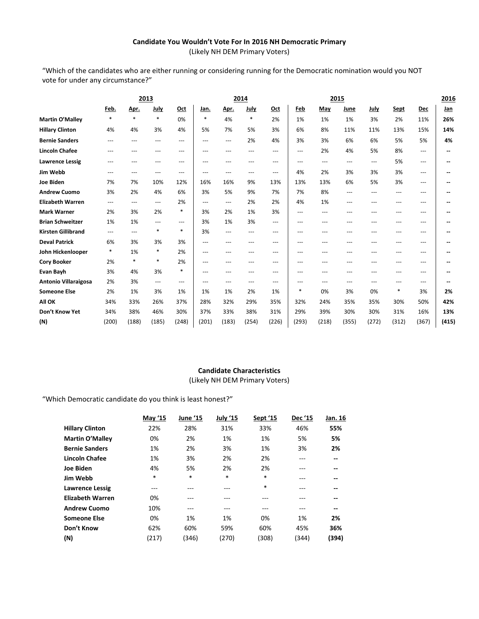## **Candidate You Wouldn't Vote For In 2016 NH Democratic Primary** (Likely NH DEM Primary Voters)

"Which of the candidates who are either running or considering running for the Democratic nomination would you NOT vote for under any circumstance?"

|                             | 2013   |        |                          |                   | 2014              |                         |             |          | 2015                      |          |       |             | 2016        |          |                          |
|-----------------------------|--------|--------|--------------------------|-------------------|-------------------|-------------------------|-------------|----------|---------------------------|----------|-------|-------------|-------------|----------|--------------------------|
|                             | Feb.   | Apr.   | July                     | Oct               | Jan.              | Apr.                    | <u>July</u> | Oct      | Feb                       | May      | June  | <b>July</b> | <b>Sept</b> | Dec      | <u>Jan</u>               |
| <b>Martin O'Malley</b>      | $\ast$ | $\ast$ | $\ast$                   | 0%                | $\ast$            | 4%                      | $\ast$      | 2%       | 1%                        | 1%       | 1%    | 3%          | 2%          | 11%      | 26%                      |
| <b>Hillary Clinton</b>      | 4%     | 4%     | 3%                       | 4%                | 5%                | 7%                      | 5%          | 3%       | 6%                        | 8%       | 11%   | 11%         | 13%         | 15%      | 14%                      |
| <b>Bernie Sanders</b>       | $---$  | ---    | ---                      | $\qquad \qquad -$ | $\qquad \qquad -$ | $\qquad \qquad -$       | 2%          | 4%       | 3%                        | 3%       | 6%    | 6%          | 5%          | 5%       | 4%                       |
| <b>Lincoln Chafee</b>       | $---$  | ---    | ---                      | $\cdots$          | $---$             | ---                     | ---         | ---      | $\cdots$                  | 2%       | 4%    | 5%          | 8%          | ---      | $\overline{\phantom{a}}$ |
| <b>Lawrence Lessig</b>      | ---    | ---    | ---                      | ---               | ---               | ---                     | ---         | ---      | ---                       | $\cdots$ | ---   | ---         | 5%          | ---      |                          |
| Jim Webb                    | ---    | ---    | ---                      | ---               | $---$             | ---                     | ---         | ---      | 4%                        | 2%       | 3%    | 3%          | 3%          | ---      |                          |
| <b>Joe Biden</b>            | 7%     | 7%     | 10%                      | 12%               | 16%               | 16%                     | 9%          | 13%      | 13%                       | 13%      | 6%    | 5%          | 3%          | $---$    |                          |
| <b>Andrew Cuomo</b>         | 3%     | 2%     | 4%                       | 6%                | 3%                | 5%                      | 9%          | 7%       | 7%                        | 8%       | ---   | $---$       | $---$       | ---      |                          |
| <b>Elizabeth Warren</b>     | $---$  | ---    | $---$                    | 2%                | $---$             | $\qquad \qquad -$       | 2%          | 2%       | 4%                        | 1%       | ---   | ---         | $---$       | ---      | $\overline{\phantom{a}}$ |
| <b>Mark Warner</b>          | 2%     | 3%     | 2%                       | *                 | 3%                | 2%                      | 1%          | 3%       | $---$                     | $---$    | ---   | ---         | ---         | ---      |                          |
| <b>Brian Schweitzer</b>     | 1%     | 1%     | $---$                    | $\cdots$          | 3%                | 1%                      | 3%          | $\cdots$ | $---$                     | $---$    | ---   | ---         | $---$       | $---$    |                          |
| <b>Kirsten Gillibrand</b>   | $---$  | ---    | $\ast$                   | $\ast$            | 3%                | ---                     | ---         | $---$    | $---$                     | ---      | ---   | ---         | $---$       | ---      | --                       |
| <b>Deval Patrick</b>        | 6%     | 3%     | 3%                       | 3%                | $---$             | ---                     | ---         | ---      | ---                       | $---$    | ---   | ---         | ---         | ---      |                          |
| John Hickenlooper           | $\ast$ | 1%     | $\ast$                   | 2%                | $---$             | ---                     | ---         | ---      | $---$                     | $---$    | ---   | ---         | $---$       | $---$    |                          |
| <b>Cory Booker</b>          | 2%     | $\ast$ | $\ast$                   | 2%                | $---$             | ---                     | ---         | ---      | $---$                     | $---$    | ---   | ---         | ---         | ---      |                          |
| <b>Evan Bayh</b>            | 3%     | 4%     | 3%                       | $\ast$            | $---$             | ---                     | ---         | ---      | ---                       | ---      | ---   | ---         | ---         | ---      |                          |
| <b>Antonio Villaraigosa</b> | 2%     | 3%     | $\hspace{0.05cm} \ldots$ | $\cdots$          | $---$             | $\qquad \qquad -\qquad$ | ---         | $---$    | $\qquad \qquad -\qquad -$ | $\cdots$ | ---   | ---         | $---$       | $\cdots$ |                          |
| <b>Someone Else</b>         | 2%     | 1%     | 3%                       | 1%                | 1%                | 1%                      | 2%          | 1%       | $\ast$                    | 0%       | 3%    | 0%          | *           | 3%       | 2%                       |
| All OK                      | 34%    | 33%    | 26%                      | 37%               | 28%               | 32%                     | 29%         | 35%      | 32%                       | 24%      | 35%   | 35%         | 30%         | 50%      | 42%                      |
| Don't Know Yet              | 34%    | 38%    | 46%                      | 30%               | 37%               | 33%                     | 38%         | 31%      | 29%                       | 39%      | 30%   | 30%         | 31%         | 16%      | 13%                      |
| (N)                         | (200)  | (188)  | (185)                    | (248)             | (201)             | (183)                   | (254)       | (226)    | (293)                     | (218)    | (355) | (272)       | (312)       | (367)    | (415)                    |

## **Candidate Characteristics**

(Likely NH DEM Primary Voters)

"Which Democratic candidate do you think is least honest?"

|                         | May '15 | June '15 | July '15 | Sept '15 | Dec '15 | Jan. 16 |
|-------------------------|---------|----------|----------|----------|---------|---------|
| <b>Hillary Clinton</b>  | 22%     | 28%      | 31%      | 33%      | 46%     | 55%     |
| Martin O'Malley         | 0%      | 2%       | 1%       | 1%       | 5%      | 5%      |
| <b>Bernie Sanders</b>   | 1%      | 2%       | 3%       | 1%       | 3%      | 2%      |
| <b>Lincoln Chafee</b>   | 1%      | 3%       | 2%       | 2%       | ---     | --      |
| <b>Joe Biden</b>        | 4%      | 5%       | 2%       | 2%       | ---     | --      |
| Jim Webb                | $\ast$  | *        | $\ast$   | $\ast$   | ---     | --      |
| <b>Lawrence Lessig</b>  | $- - -$ |          | ---      | $\ast$   | ---     | --      |
| <b>Elizabeth Warren</b> | 0%      | ---      | ---      | ---      |         | --      |
| <b>Andrew Cuomo</b>     | 10%     | ---      | $- - -$  | ---      | ---     | --      |
| <b>Someone Else</b>     | 0%      | 1%       | 1%       | 0%       | 1%      | 2%      |
| Don't Know              | 62%     | 60%      | 59%      | 60%      | 45%     | 36%     |
| (N)                     | (217)   | (346)    | (270)    | (308)    | (344)   | (394)   |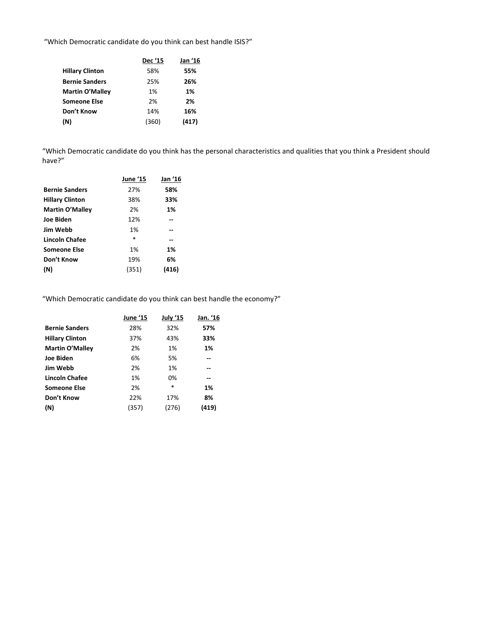"Which Democratic candidate do you think can best handle ISIS?"

|                        | <b>Dec '15</b> | Jan '16 |
|------------------------|----------------|---------|
| <b>Hillary Clinton</b> | 58%            | 55%     |
| <b>Bernie Sanders</b>  | 25%            | 26%     |
| <b>Martin O'Malley</b> | 1%             | 1%      |
| <b>Someone Else</b>    | 2%             | 2%      |
| Don't Know             | 14%            | 16%     |
| (N)                    | (360)          | (417)   |

"Which Democratic candidate do you think has the personal characteristics and qualities that you think a President should have?"

| June '15 | Jan '16 |
|----------|---------|
| 27%      | 58%     |
| 38%      | 33%     |
| 2%       | 1%      |
| 12%      |         |
| 1%       |         |
| $\ast$   | --      |
| 1%       | 1%      |
| 19%      | 6%      |
| (351)    | (416)   |
|          |         |

"Which Democratic candidate do you think can best handle the economy?"

|                        | <b>June '15</b> | July '15 | Jan. '16 |
|------------------------|-----------------|----------|----------|
| <b>Bernie Sanders</b>  | 28%             | 32%      | 57%      |
| <b>Hillary Clinton</b> | 37%             | 43%      | 33%      |
| <b>Martin O'Malley</b> | 2%              | 1%       | 1%       |
| <b>Joe Biden</b>       | 6%              | 5%       |          |
| <b>Jim Webb</b>        | 2%              | 1%       | --       |
| Lincoln Chafee         | 1%              | 0%       | --       |
| <b>Someone Else</b>    | 2%              | *        | 1%       |
| Don't Know             | 22%             | 17%      | 8%       |
| (N)                    | (357)           | (276)    | (419)    |
|                        |                 |          |          |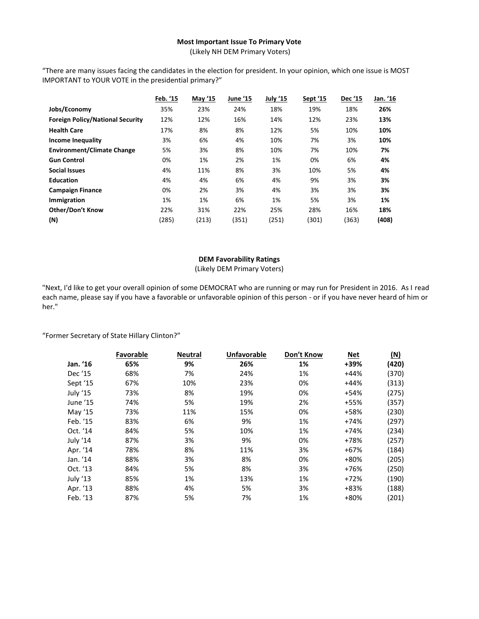## **Most Important Issue To Primary Vote**

(Likely NH DEM Primary Voters)

"There are many issues facing the candidates in the election for president. In your opinion, which one issue is MOST IMPORTANT to YOUR VOTE in the presidential primary?"

|                                         | Feb. '15 | May '15 | <b>June '15</b> | July '15 | Sept '15 | Dec '15 | Jan. '16 |
|-----------------------------------------|----------|---------|-----------------|----------|----------|---------|----------|
| Jobs/Economy                            | 35%      | 23%     | 24%             | 18%      | 19%      | 18%     | 26%      |
| <b>Foreign Policy/National Security</b> | 12%      | 12%     | 16%             | 14%      | 12%      | 23%     | 13%      |
| <b>Health Care</b>                      | 17%      | 8%      | 8%              | 12%      | 5%       | 10%     | 10%      |
| Income Inequality                       | 3%       | 6%      | 4%              | 10%      | 7%       | 3%      | 10%      |
| <b>Environment/Climate Change</b>       | 5%       | 3%      | 8%              | 10%      | 7%       | 10%     | 7%       |
| <b>Gun Control</b>                      | 0%       | 1%      | 2%              | 1%       | 0%       | 6%      | 4%       |
| <b>Social Issues</b>                    | 4%       | 11%     | 8%              | 3%       | 10%      | 5%      | 4%       |
| <b>Education</b>                        | 4%       | 4%      | 6%              | 4%       | 9%       | 3%      | 3%       |
| <b>Campaign Finance</b>                 | 0%       | 2%      | 3%              | 4%       | 3%       | 3%      | 3%       |
| Immigration                             | 1%       | 1%      | 6%              | 1%       | 5%       | 3%      | 1%       |
| <b>Other/Don't Know</b>                 | 22%      | 31%     | 22%             | 25%      | 28%      | 16%     | 18%      |
| (N)                                     | (285)    | (213)   | (351)           | (251)    | (301)    | (363)   | (408)    |

## **DEM Favorability Ratings**

(Likely DEM Primary Voters)

"Next, I'd like to get your overall opinion of some DEMOCRAT who are running or may run for President in 2016. As I read each name, please say if you have a favorable or unfavorable opinion of this person - or if you have never heard of him or her."

"Former Secretary of State Hillary Clinton?"

|          | <b>Favorable</b> | <b>Neutral</b> | <b>Unfavorable</b> | Don't Know | <b>Net</b> | (M)   |
|----------|------------------|----------------|--------------------|------------|------------|-------|
| Jan. '16 | 65%              | 9%             | 26%                | 1%         | +39%       | (420) |
| Dec '15  | 68%              | 7%             | 24%                | 1%         | $+44%$     | (370) |
| Sept '15 | 67%              | 10%            | 23%                | 0%         | $+44%$     | (313) |
| July '15 | 73%              | 8%             | 19%                | 0%         | $+54%$     | (275) |
| June '15 | 74%              | 5%             | 19%                | 2%         | +55%       | (357) |
| May '15  | 73%              | 11%            | 15%                | 0%         | +58%       | (230) |
| Feb. '15 | 83%              | 6%             | 9%                 | 1%         | $+74%$     | (297) |
| Oct. '14 | 84%              | 5%             | 10%                | 1%         | $+74%$     | (234) |
| July '14 | 87%              | 3%             | 9%                 | 0%         | +78%       | (257) |
| Apr. '14 | 78%              | 8%             | 11%                | 3%         | $+67%$     | (184) |
| Jan. '14 | 88%              | 3%             | 8%                 | 0%         | +80%       | (205) |
| Oct. '13 | 84%              | 5%             | 8%                 | 3%         | +76%       | (250) |
| July '13 | 85%              | 1%             | 13%                | 1%         | $+72%$     | (190) |
| Apr. '13 | 88%              | 4%             | 5%                 | 3%         | +83%       | (188) |
| Feb. '13 | 87%              | 5%             | 7%                 | 1%         | +80%       | (201) |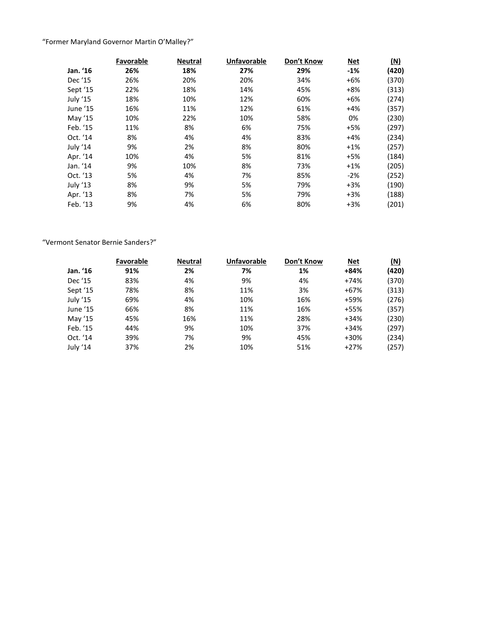## "Former Maryland Governor Martin O'Malley?"

|          | Favorable | <b>Neutral</b> | <b>Unfavorable</b> | Don't Know | <b>Net</b> | (M)   |
|----------|-----------|----------------|--------------------|------------|------------|-------|
| Jan. '16 | 26%       | 18%            | 27%                | 29%        | $-1%$      | (420) |
| Dec '15  | 26%       | 20%            | 20%                | 34%        | $+6%$      | (370) |
| Sept '15 | 22%       | 18%            | 14%                | 45%        | $+8%$      | (313) |
| July '15 | 18%       | 10%            | 12%                | 60%        | $+6%$      | (274) |
| June '15 | 16%       | 11%            | 12%                | 61%        | $+4%$      | (357) |
| May '15  | 10%       | 22%            | 10%                | 58%        | 0%         | (230) |
| Feb. '15 | 11%       | 8%             | 6%                 | 75%        | $+5%$      | (297) |
| Oct. '14 | 8%        | 4%             | 4%                 | 83%        | $+4%$      | (234) |
| July '14 | 9%        | 2%             | 8%                 | 80%        | $+1%$      | (257) |
| Apr. '14 | 10%       | 4%             | 5%                 | 81%        | $+5%$      | (184) |
| Jan. '14 | 9%        | 10%            | 8%                 | 73%        | $+1%$      | (205) |
| Oct. '13 | 5%        | 4%             | 7%                 | 85%        | $-2%$      | (252) |
| July '13 | 8%        | 9%             | 5%                 | 79%        | $+3%$      | (190) |
| Apr. '13 | 8%        | 7%             | 5%                 | 79%        | $+3%$      | (188) |
| Feb. '13 | 9%        | 4%             | 6%                 | 80%        | $+3%$      | (201) |

## "Vermont Senator Bernie Sanders?"

|          | Favorable | <b>Neutral</b> | <b>Unfavorable</b> | Don't Know | <b>Net</b> | (N)   |
|----------|-----------|----------------|--------------------|------------|------------|-------|
| Jan. '16 | 91%       | 2%             | 7%                 | 1%         | +84%       | (420) |
| Dec '15  | 83%       | 4%             | 9%                 | 4%         | $+74%$     | (370) |
| Sept '15 | 78%       | 8%             | 11%                | 3%         | $+67%$     | (313) |
| July '15 | 69%       | 4%             | 10%                | 16%        | +59%       | (276) |
| June '15 | 66%       | 8%             | 11%                | 16%        | +55%       | (357) |
| May '15  | 45%       | 16%            | 11%                | 28%        | $+34%$     | (230) |
| Feb. '15 | 44%       | 9%             | 10%                | 37%        | $+34%$     | (297) |
| Oct. '14 | 39%       | 7%             | 9%                 | 45%        | $+30%$     | (234) |
| July '14 | 37%       | 2%             | 10%                | 51%        | $+27%$     | (257) |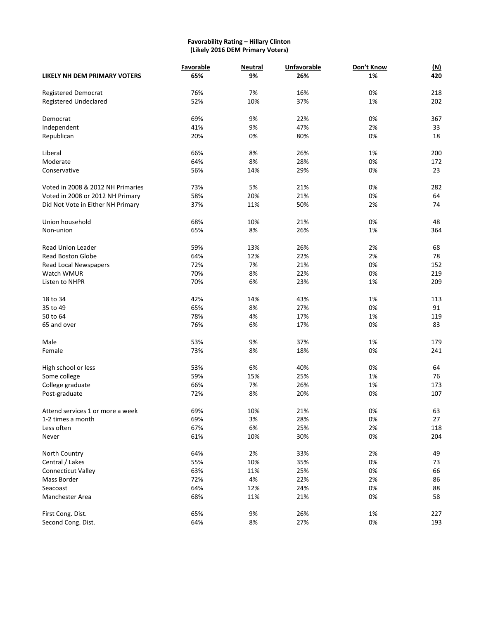## **Favorability Rating – Hillary Clinton (Likely 2016 DEM Primary Voters)**

|                                   | Favorable | <b>Neutral</b> | Unfavorable | Don't Know | (M) |
|-----------------------------------|-----------|----------------|-------------|------------|-----|
| LIKELY NH DEM PRIMARY VOTERS      | 65%       | 9%             | 26%         | 1%         | 420 |
| <b>Registered Democrat</b>        | 76%       | 7%             | 16%         | 0%         | 218 |
| Registered Undeclared             | 52%       | 10%            | 37%         | 1%         | 202 |
| Democrat                          | 69%       | 9%             | 22%         | 0%         | 367 |
| Independent                       | 41%       | 9%             | 47%         | 2%         | 33  |
| Republican                        | 20%       | 0%             | 80%         | 0%         | 18  |
| Liberal                           | 66%       | 8%             | 26%         | 1%         | 200 |
| Moderate                          | 64%       | 8%             | 28%         | 0%         | 172 |
| Conservative                      | 56%       | 14%            | 29%         | 0%         | 23  |
| Voted in 2008 & 2012 NH Primaries | 73%       | 5%             | 21%         | 0%         | 282 |
| Voted in 2008 or 2012 NH Primary  | 58%       | 20%            | 21%         | 0%         | 64  |
| Did Not Vote in Either NH Primary | 37%       | 11%            | 50%         | 2%         | 74  |
| Union household                   | 68%       | 10%            | 21%         | 0%         | 48  |
| Non-union                         | 65%       | 8%             | 26%         | 1%         | 364 |
| <b>Read Union Leader</b>          | 59%       | 13%            | 26%         | 2%         | 68  |
| <b>Read Boston Globe</b>          | 64%       | 12%            | 22%         | 2%         | 78  |
| Read Local Newspapers             | 72%       | 7%             | 21%         | 0%         | 152 |
| Watch WMUR                        | 70%       | 8%             | 22%         | 0%         | 219 |
| Listen to NHPR                    | 70%       | 6%             | 23%         | 1%         | 209 |
| 18 to 34                          | 42%       | 14%            | 43%         | 1%         | 113 |
| 35 to 49                          | 65%       | 8%             | 27%         | 0%         | 91  |
| 50 to 64                          | 78%       | 4%             | 17%         | 1%         | 119 |
| 65 and over                       | 76%       | 6%             | 17%         | 0%         | 83  |
| Male                              | 53%       | 9%             | 37%         | 1%         | 179 |
| Female                            | 73%       | 8%             | 18%         | 0%         | 241 |
| High school or less               | 53%       | 6%             | 40%         | 0%         | 64  |
| Some college                      | 59%       | 15%            | 25%         | 1%         | 76  |
| College graduate                  | 66%       | 7%             | 26%         | 1%         | 173 |
| Post-graduate                     | 72%       | 8%             | 20%         | 0%         | 107 |
| Attend services 1 or more a week  | 69%       | 10%            | 21%         | 0%         | 63  |
| 1-2 times a month                 | 69%       | 3%             | 28%         | 0%         | 27  |
| Less often                        | 67%       | 6%             | 25%         | 2%         | 118 |
| Never                             | 61%       | 10%            | 30%         | 0%         | 204 |
| North Country                     | 64%       | 2%             | 33%         | 2%         | 49  |
| Central / Lakes                   | 55%       | 10%            | 35%         | 0%         | 73  |
| <b>Connecticut Valley</b>         | 63%       | 11%            | 25%         | 0%         | 66  |
| Mass Border                       | 72%       | 4%             | 22%         | 2%         | 86  |
| Seacoast                          | 64%       | 12%            | 24%         | 0%         | 88  |
| Manchester Area                   | 68%       | 11%            | 21%         | 0%         | 58  |
| First Cong. Dist.                 | 65%       | 9%             | 26%         | 1%         | 227 |
| Second Cong. Dist.                | 64%       | 8%             | 27%         | 0%         | 193 |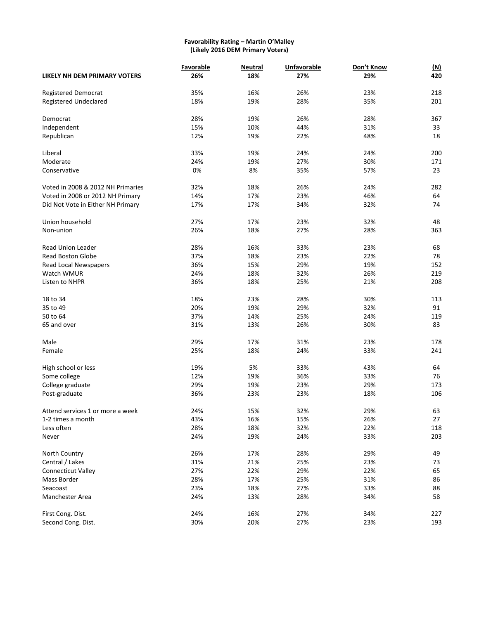#### **Favorability Rating – Martin O'Malley (Likely 2016 DEM Primary Voters)**

|                                   | Favorable | <b>Neutral</b> | Unfavorable | Don't Know | <u>(N)</u> |
|-----------------------------------|-----------|----------------|-------------|------------|------------|
| LIKELY NH DEM PRIMARY VOTERS      | 26%       | 18%            | 27%         | 29%        | 420        |
| <b>Registered Democrat</b>        | 35%       | 16%            | 26%         | 23%        | 218        |
| Registered Undeclared             | 18%       | 19%            | 28%         | 35%        | 201        |
| Democrat                          | 28%       | 19%            | 26%         | 28%        | 367        |
| Independent                       | 15%       | 10%            | 44%         | 31%        | 33         |
| Republican                        | 12%       | 19%            | 22%         | 48%        | 18         |
| Liberal                           | 33%       | 19%            | 24%         | 24%        | 200        |
| Moderate                          | 24%       | 19%            | 27%         | 30%        | 171        |
| Conservative                      | 0%        | 8%             | 35%         | 57%        | 23         |
| Voted in 2008 & 2012 NH Primaries | 32%       | 18%            | 26%         | 24%        | 282        |
| Voted in 2008 or 2012 NH Primary  | 14%       | 17%            | 23%         | 46%        | 64         |
| Did Not Vote in Either NH Primary | 17%       | 17%            | 34%         | 32%        | 74         |
| Union household                   | 27%       | 17%            | 23%         | 32%        | 48         |
| Non-union                         | 26%       | 18%            | 27%         | 28%        | 363        |
| Read Union Leader                 | 28%       | 16%            | 33%         | 23%        | 68         |
| <b>Read Boston Globe</b>          | 37%       | 18%            | 23%         | 22%        | 78         |
| Read Local Newspapers             | 36%       | 15%            | 29%         | 19%        | 152        |
| Watch WMUR                        | 24%       | 18%            | 32%         | 26%        | 219        |
| Listen to NHPR                    | 36%       | 18%            | 25%         | 21%        | 208        |
| 18 to 34                          | 18%       | 23%            | 28%         | 30%        | 113        |
| 35 to 49                          | 20%       | 19%            | 29%         | 32%        | 91         |
| 50 to 64                          | 37%       | 14%            | 25%         | 24%        | 119        |
| 65 and over                       | 31%       | 13%            | 26%         | 30%        | 83         |
| Male                              | 29%       | 17%            | 31%         | 23%        | 178        |
| Female                            | 25%       | 18%            | 24%         | 33%        | 241        |
| High school or less               | 19%       | 5%             | 33%         | 43%        | 64         |
| Some college                      | 12%       | 19%            | 36%         | 33%        | 76         |
| College graduate                  | 29%       | 19%            | 23%         | 29%        | 173        |
| Post-graduate                     | 36%       | 23%            | 23%         | 18%        | 106        |
| Attend services 1 or more a week  | 24%       | 15%            | 32%         | 29%        | 63         |
| 1-2 times a month                 | 43%       | 16%            | 15%         | 26%        | 27         |
| Less often                        | 28%       | 18%            | 32%         | 22%        | 118        |
| Never                             | 24%       | 19%            | 24%         | 33%        | 203        |
| North Country                     | 26%       | 17%            | 28%         | 29%        | 49         |
| Central / Lakes                   | 31%       | 21%            | 25%         | 23%        | 73         |
| <b>Connecticut Valley</b>         | 27%       | 22%            | 29%         | 22%        | 65         |
| Mass Border                       | 28%       | 17%            | 25%         | 31%        | 86         |
| Seacoast                          | 23%       | 18%            | 27%         | 33%        | 88         |
| Manchester Area                   | 24%       | 13%            | 28%         | 34%        | 58         |
| First Cong. Dist.                 | 24%       | 16%            | 27%         | 34%        | 227        |
| Second Cong. Dist.                | 30%       | 20%            | 27%         | 23%        | 193        |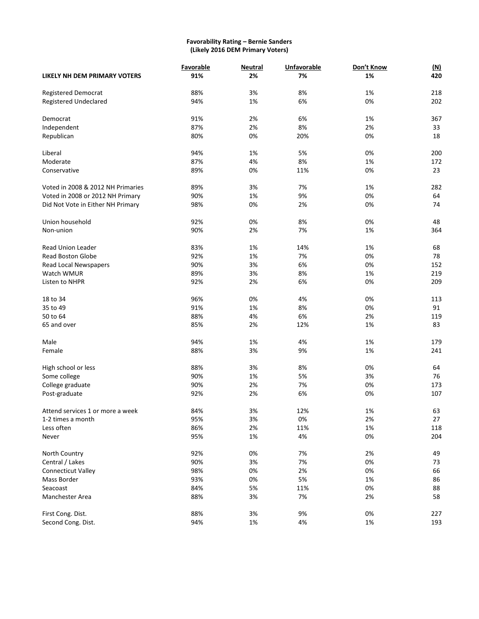#### **Favorability Rating – Bernie Sanders (Likely 2016 DEM Primary Voters)**

|                                   | Favorable | <b>Neutral</b> | <b>Unfavorable</b> | Don't Know | (M) |
|-----------------------------------|-----------|----------------|--------------------|------------|-----|
| LIKELY NH DEM PRIMARY VOTERS      | 91%       | 2%             | 7%                 | 1%         | 420 |
| <b>Registered Democrat</b>        | 88%       | 3%             | 8%                 | 1%         | 218 |
| Registered Undeclared             | 94%       | 1%             | 6%                 | 0%         | 202 |
| Democrat                          | 91%       | 2%             | 6%                 | 1%         | 367 |
| Independent                       | 87%       | 2%             | 8%                 | 2%         | 33  |
| Republican                        | 80%       | 0%             | 20%                | 0%         | 18  |
| Liberal                           | 94%       | 1%             | 5%                 | 0%         | 200 |
| Moderate                          | 87%       | 4%             | 8%                 | 1%         | 172 |
| Conservative                      | 89%       | 0%             | 11%                | 0%         | 23  |
| Voted in 2008 & 2012 NH Primaries | 89%       | 3%             | 7%                 | 1%         | 282 |
| Voted in 2008 or 2012 NH Primary  | 90%       | 1%             | 9%                 | 0%         | 64  |
| Did Not Vote in Either NH Primary | 98%       | 0%             | 2%                 | 0%         | 74  |
| Union household                   | 92%       | 0%             | 8%                 | 0%         | 48  |
| Non-union                         | 90%       | 2%             | 7%                 | 1%         | 364 |
| <b>Read Union Leader</b>          | 83%       | 1%             | 14%                | 1%         | 68  |
| <b>Read Boston Globe</b>          | 92%       | 1%             | 7%                 | 0%         | 78  |
| Read Local Newspapers             | 90%       | 3%             | 6%                 | 0%         | 152 |
| Watch WMUR                        | 89%       | 3%             | 8%                 | 1%         | 219 |
| Listen to NHPR                    | 92%       | 2%             | 6%                 | 0%         | 209 |
| 18 to 34                          | 96%       | 0%             | 4%                 | 0%         | 113 |
| 35 to 49                          | 91%       | 1%             | 8%                 | 0%         | 91  |
| 50 to 64                          | 88%       | 4%             | 6%                 | 2%         | 119 |
| 65 and over                       | 85%       | 2%             | 12%                | 1%         | 83  |
| Male                              | 94%       | 1%             | 4%                 | 1%         | 179 |
| Female                            | 88%       | 3%             | 9%                 | 1%         | 241 |
| High school or less               | 88%       | 3%             | 8%                 | 0%         | 64  |
| Some college                      | 90%       | 1%             | 5%                 | 3%         | 76  |
| College graduate                  | 90%       | 2%             | 7%                 | 0%         | 173 |
| Post-graduate                     | 92%       | 2%             | 6%                 | 0%         | 107 |
| Attend services 1 or more a week  | 84%       | 3%             | 12%                | 1%         | 63  |
| 1-2 times a month                 | 95%       | 3%             | 0%                 | 2%         | 27  |
| Less often                        | 86%       | 2%             | 11%                | 1%         | 118 |
| Never                             | 95%       | 1%             | 4%                 | 0%         | 204 |
| North Country                     | 92%       | 0%             | 7%                 | 2%         | 49  |
| Central / Lakes                   | 90%       | 3%             | 7%                 | 0%         | 73  |
| <b>Connecticut Valley</b>         | 98%       | 0%             | 2%                 | 0%         | 66  |
| Mass Border                       | 93%       | 0%             | 5%                 | 1%         | 86  |
| Seacoast                          | 84%       | 5%             | 11%                | 0%         | 88  |
| Manchester Area                   | 88%       | 3%             | 7%                 | 2%         | 58  |
| First Cong. Dist.                 | 88%       | 3%             | 9%                 | 0%         | 227 |
| Second Cong. Dist.                | 94%       | $1\%$          | 4%                 | $1\%$      | 193 |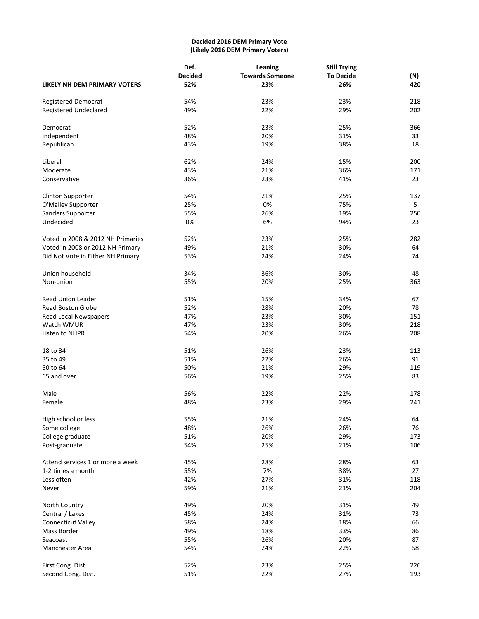## **Decided 2016 DEM Primary Vote (Likely 2016 DEM Primary Voters)**

|                                   | Def.           | Leaning                | <b>Still Trying</b> |            |
|-----------------------------------|----------------|------------------------|---------------------|------------|
|                                   | <b>Decided</b> | <b>Towards Someone</b> | <b>To Decide</b>    | <u>(N)</u> |
| LIKELY NH DEM PRIMARY VOTERS      | 52%            | 23%                    | 26%                 | 420        |
| <b>Registered Democrat</b>        | 54%            | 23%                    | 23%                 | 218        |
| <b>Registered Undeclared</b>      | 49%            | 22%                    | 29%                 | 202        |
| Democrat                          | 52%            | 23%                    | 25%                 | 366        |
| Independent                       | 48%            | 20%                    | 31%                 | 33         |
| Republican                        | 43%            | 19%                    | 38%                 | 18         |
| Liberal                           | 62%            | 24%                    | 15%                 | 200        |
| Moderate                          | 43%            | 21%                    | 36%                 | 171        |
| Conservative                      | 36%            | 23%                    | 41%                 | 23         |
| <b>Clinton Supporter</b>          | 54%            | 21%                    | 25%                 | 137        |
| O'Malley Supporter                | 25%            | 0%                     | 75%                 | 5          |
| Sanders Supporter                 | 55%            | 26%                    | 19%                 | 250        |
| Undecided                         | 0%             | 6%                     | 94%                 | 23         |
| Voted in 2008 & 2012 NH Primaries | 52%            | 23%                    | 25%                 | 282        |
| Voted in 2008 or 2012 NH Primary  | 49%            | 21%                    | 30%                 | 64         |
| Did Not Vote in Either NH Primary | 53%            | 24%                    | 24%                 | 74         |
| Union household                   | 34%            | 36%                    | 30%                 | 48         |
| Non-union                         | 55%            | 20%                    | 25%                 | 363        |
| <b>Read Union Leader</b>          | 51%            | 15%                    | 34%                 | 67         |
| <b>Read Boston Globe</b>          | 52%            | 28%                    | 20%                 | 78         |
| Read Local Newspapers             | 47%            | 23%                    | 30%                 | 151        |
| Watch WMUR                        | 47%            | 23%                    | 30%                 | 218        |
| Listen to NHPR                    | 54%            | 20%                    | 26%                 | 208        |
| 18 to 34                          | 51%            | 26%                    | 23%                 | 113        |
| 35 to 49                          | 51%            | 22%                    | 26%                 | 91         |
| 50 to 64                          | 50%            | 21%                    | 29%                 | 119        |
| 65 and over                       | 56%            | 19%                    | 25%                 | 83         |
| Male                              | 56%            | 22%                    | 22%                 | 178        |
| Female                            | 48%            | 23%                    | 29%                 | 241        |
| High school or less               | 55%            | 21%                    | 24%                 | 64         |
| Some college                      | 48%            | 26%                    | 26%                 | 76         |
| College graduate                  | 51%            | 20%                    | 29%                 | 173        |
| Post-graduate                     | 54%            | 25%                    | 21%                 | 106        |
| Attend services 1 or more a week  | 45%            | 28%                    | 28%                 | 63         |
| 1-2 times a month                 | 55%            | 7%                     | 38%                 | 27         |
| Less often                        | 42%            | 27%                    | 31%                 | 118        |
| Never                             | 59%            | 21%                    | 21%                 | 204        |
| North Country                     | 49%            | 20%                    | 31%                 | 49         |
| Central / Lakes                   | 45%            | 24%                    | 31%                 | 73         |
| Connecticut Valley                | 58%            | 24%                    | 18%                 | 66         |
| Mass Border                       | 49%            | 18%                    | 33%                 | 86         |
| Seacoast                          | 55%            | 26%                    | 20%                 | 87         |
| Manchester Area                   | 54%            | 24%                    | 22%                 | 58         |
| First Cong. Dist.                 | 52%            | 23%                    | 25%                 | 226        |
| Second Cong. Dist.                | 51%            | 22%                    | 27%                 | 193        |
|                                   |                |                        |                     |            |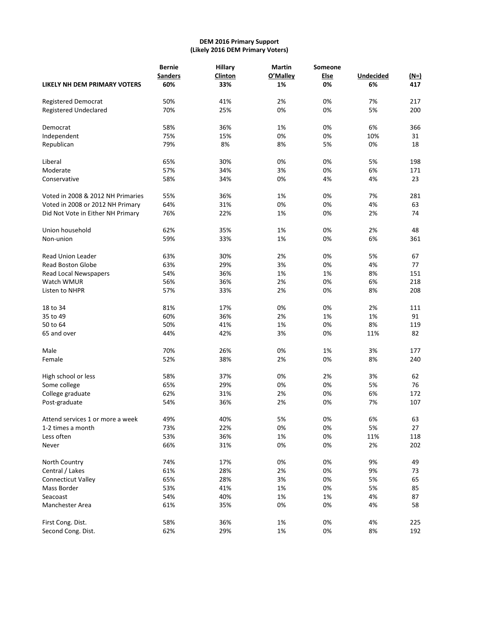## **DEM 2016 Primary Support (Likely 2016 DEM Primary Voters)**

|                                   | <b>Bernie</b>  | <b>Hillary</b> | <b>Martin</b> | Someone |                  |        |
|-----------------------------------|----------------|----------------|---------------|---------|------------------|--------|
|                                   | <b>Sanders</b> | Clinton        | O'Malley      | Else    | <b>Undecided</b> | $(M=)$ |
| LIKELY NH DEM PRIMARY VOTERS      | 60%            | 33%            | 1%            | 0%      | 6%               | 417    |
| <b>Registered Democrat</b>        | 50%            | 41%            | 2%            | 0%      | 7%               | 217    |
| <b>Registered Undeclared</b>      | 70%            | 25%            | 0%            | 0%      | 5%               | 200    |
| Democrat                          | 58%            | 36%            | 1%            | 0%      | 6%               | 366    |
| Independent                       | 75%            | 15%            | 0%            | 0%      | 10%              | 31     |
| Republican                        | 79%            | 8%             | 8%            | 5%      | 0%               | 18     |
| Liberal                           | 65%            | 30%            | 0%            | 0%      | 5%               | 198    |
| Moderate                          | 57%            | 34%            | 3%            | 0%      | 6%               | 171    |
| Conservative                      | 58%            | 34%            | 0%            | 4%      | 4%               | 23     |
| Voted in 2008 & 2012 NH Primaries | 55%            | 36%            | 1%            | 0%      | 7%               | 281    |
| Voted in 2008 or 2012 NH Primary  | 64%            | 31%            | 0%            | 0%      | 4%               | 63     |
| Did Not Vote in Either NH Primary | 76%            | 22%            | 1%            | 0%      | 2%               | 74     |
| Union household                   | 62%            | 35%            | 1%            | 0%      | 2%               | 48     |
| Non-union                         | 59%            | 33%            | 1%            | 0%      | 6%               | 361    |
| <b>Read Union Leader</b>          | 63%            | 30%            | 2%            | 0%      | 5%               | 67     |
| <b>Read Boston Globe</b>          | 63%            | 29%            | 3%            | 0%      | 4%               | 77     |
| Read Local Newspapers             | 54%            | 36%            | 1%            | 1%      | 8%               | 151    |
| Watch WMUR                        | 56%            | 36%            | 2%            | 0%      | 6%               | 218    |
| Listen to NHPR                    | 57%            | 33%            | 2%            | 0%      | 8%               | 208    |
| 18 to 34                          | 81%            | 17%            | 0%            | 0%      | 2%               | 111    |
| 35 to 49                          | 60%            | 36%            | 2%            | 1%      | 1%               | 91     |
| 50 to 64                          | 50%            | 41%            | 1%            | 0%      | 8%               | 119    |
| 65 and over                       | 44%            | 42%            | 3%            | 0%      | 11%              | 82     |
| Male                              | 70%            | 26%            | 0%            | 1%      | 3%               | 177    |
| Female                            | 52%            | 38%            | 2%            | 0%      | 8%               | 240    |
| High school or less               | 58%            | 37%            | 0%            | 2%      | 3%               | 62     |
| Some college                      | 65%            | 29%            | 0%            | 0%      | 5%               | 76     |
| College graduate                  | 62%            | 31%            | 2%            | 0%      | 6%               | 172    |
| Post-graduate                     | 54%            | 36%            | 2%            | 0%      | 7%               | 107    |
| Attend services 1 or more a week  | 49%            | 40%            | 5%            | 0%      | 6%               | 63     |
| 1-2 times a month                 | 73%            | 22%            | 0%            | 0%      | 5%               | 27     |
| Less often                        | 53%            | 36%            | 1%            | 0%      | 11%              | 118    |
| Never                             | 66%            | 31%            | 0%            | 0%      | 2%               | 202    |
| North Country                     | 74%            | 17%            | 0%            | 0%      | 9%               | 49     |
| Central / Lakes                   | 61%            | 28%            | 2%            | 0%      | 9%               | 73     |
| <b>Connecticut Valley</b>         | 65%            | 28%            | 3%            | 0%      | 5%               | 65     |
| Mass Border                       | 53%            | 41%            | 1%            | 0%      | 5%               | 85     |
| Seacoast                          | 54%            | 40%            | 1%            | 1%      | 4%               | 87     |
| Manchester Area                   | 61%            | 35%            | 0%            | 0%      | 4%               | 58     |
| First Cong. Dist.                 | 58%            | 36%            | 1%            | 0%      | 4%               | 225    |
| Second Cong. Dist.                | 62%            | 29%            | 1%            | 0%      | 8%               | 192    |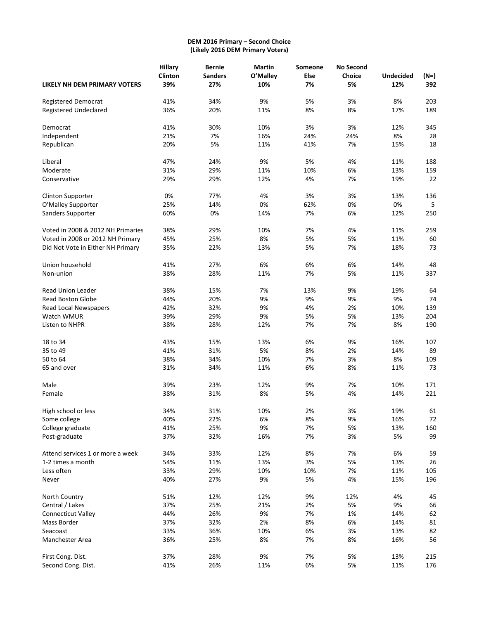## **DEM 2016 Primary – Second Choice (Likely 2016 DEM Primary Voters)**

|                                   | <b>Hillary</b> | <b>Bernie</b>  | <b>Martin</b> | Someone     | <b>No Second</b> |                  |             |
|-----------------------------------|----------------|----------------|---------------|-------------|------------------|------------------|-------------|
|                                   | Clinton        | <b>Sanders</b> | O'Malley      | <b>Else</b> | Choice           | <b>Undecided</b> | <u>(N=)</u> |
| LIKELY NH DEM PRIMARY VOTERS      | 39%            | 27%            | 10%           | 7%          | 5%               | 12%              | 392         |
| <b>Registered Democrat</b>        | 41%            | 34%            | 9%            | 5%          | 3%               | 8%               | 203         |
| <b>Registered Undeclared</b>      | 36%            | 20%            | 11%           | 8%          | 8%               | 17%              | 189         |
| Democrat                          | 41%            | 30%            | 10%           | 3%          | 3%               | 12%              | 345         |
| Independent                       | 21%            | 7%             | 16%           | 24%         | 24%              | 8%               | 28          |
| Republican                        | 20%            | 5%             | 11%           | 41%         | 7%               | 15%              | 18          |
| Liberal                           | 47%            | 24%            | 9%            | 5%          | 4%               | 11%              | 188         |
| Moderate                          | 31%            | 29%            | 11%           | 10%         | 6%               | 13%              | 159         |
| Conservative                      | 29%            | 29%            | 12%           | 4%          | 7%               | 19%              | 22          |
| <b>Clinton Supporter</b>          | 0%             | 77%            | 4%            | 3%          | 3%               | 13%              | 136         |
| O'Malley Supporter                | 25%            | 14%            | 0%            | 62%         | 0%               | 0%               | 5           |
| Sanders Supporter                 | 60%            | 0%             | 14%           | 7%          | 6%               | 12%              | 250         |
| Voted in 2008 & 2012 NH Primaries | 38%            | 29%            | 10%           | 7%          | 4%               | 11%              | 259         |
| Voted in 2008 or 2012 NH Primary  | 45%            | 25%            | 8%            | 5%          | 5%               | 11%              | 60          |
| Did Not Vote in Either NH Primary | 35%            | 22%            | 13%           | 5%          | 7%               | 18%              | 73          |
| Union household                   | 41%            | 27%            | 6%            | 6%          | 6%               | 14%              | 48          |
| Non-union                         | 38%            | 28%            | 11%           | 7%          | 5%               | 11%              | 337         |
| <b>Read Union Leader</b>          | 38%            | 15%            | 7%            | 13%         | 9%               | 19%              | 64          |
| <b>Read Boston Globe</b>          | 44%            | 20%            | 9%            | 9%          | 9%               | 9%               | 74          |
| Read Local Newspapers             | 42%            | 32%            | 9%            | 4%          | 2%               | 10%              | 139         |
| Watch WMUR                        | 39%            | 29%            | 9%            | 5%          | 5%               | 13%              | 204         |
| Listen to NHPR                    | 38%            | 28%            | 12%           | 7%          | 7%               | 8%               | 190         |
| 18 to 34                          | 43%            | 15%            | 13%           | 6%          | 9%               | 16%              | 107         |
| 35 to 49                          | 41%            | 31%            | 5%            | 8%          | 2%               | 14%              | 89          |
| 50 to 64                          | 38%            | 34%            | 10%           | 7%          | 3%               | 8%               | 109         |
| 65 and over                       | 31%            | 34%            | 11%           | 6%          | 8%               | 11%              | 73          |
| Male                              | 39%            | 23%            | 12%           | 9%          | 7%               | 10%              | 171         |
| Female                            | 38%            | 31%            | 8%            | 5%          | 4%               | 14%              | 221         |
| High school or less               | 34%            | 31%            | 10%           | 2%          | 3%               | 19%              | 61          |
| Some college                      | 40%            | 22%            | 6%            | 8%          | 9%               | 16%              | 72          |
| College graduate                  | 41%            | 25%            | 9%            | 7%          | 5%               | 13%              | 160         |
| Post-graduate                     | 37%            | 32%            | 16%           | 7%          | 3%               | 5%               | 99          |
| Attend services 1 or more a week  | 34%            | 33%            | 12%           | 8%          | 7%               | 6%               | 59          |
| 1-2 times a month                 | 54%            | 11%            | 13%           | 3%          | 5%               | 13%              | 26          |
| Less often                        | 33%            | 29%            | 10%           | 10%         | 7%               | 11%              | 105         |
| Never                             | 40%            | 27%            | 9%            | 5%          | 4%               | 15%              | 196         |
| North Country                     | 51%            | 12%            | 12%           | 9%          | 12%              | 4%               | 45          |
| Central / Lakes                   | 37%            | 25%            | 21%           | 2%          | 5%               | 9%               | 66          |
| <b>Connecticut Valley</b>         | 44%            | 26%            | 9%            | 7%          | 1%               | 14%              | 62          |
| Mass Border                       | 37%            | 32%            | 2%            | 8%          | 6%               | 14%              | 81          |
| Seacoast                          | 33%            | 36%            | 10%           | 6%          | 3%               | 13%              | 82          |
| Manchester Area                   | 36%            | 25%            | 8%            | 7%          | 8%               | 16%              | 56          |
| First Cong. Dist.                 | 37%            | 28%            | 9%            | 7%          | 5%               | 13%              | 215         |
| Second Cong. Dist.                | 41%            | 26%            | 11%           | 6%          | 5%               | 11%              | 176         |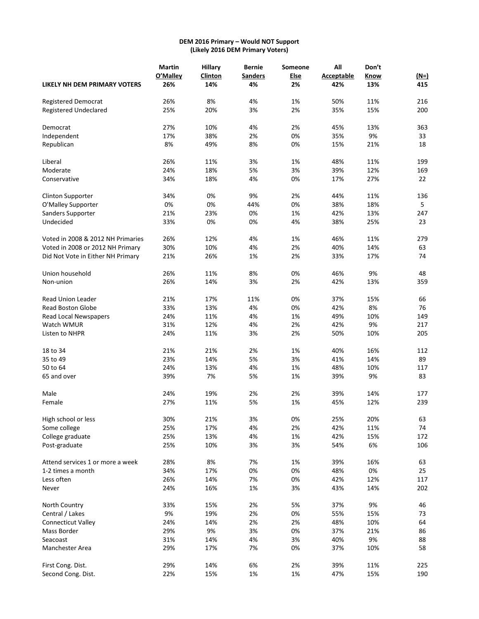## **DEM 2016 Primary – Would NOT Support (Likely 2016 DEM Primary Voters)**

|                                   | <b>Martin</b> | <b>Hillary</b> | <b>Bernie</b>  | Someone | All               | Don't |        |
|-----------------------------------|---------------|----------------|----------------|---------|-------------------|-------|--------|
|                                   | O'Malley      | Clinton        | <b>Sanders</b> | Else    | <b>Acceptable</b> | Know  | $(M=)$ |
| LIKELY NH DEM PRIMARY VOTERS      | 26%           | 14%            | 4%             | 2%      | 42%               | 13%   | 415    |
| <b>Registered Democrat</b>        | 26%           | 8%             | 4%             | 1%      | 50%               | 11%   | 216    |
| <b>Registered Undeclared</b>      | 25%           | 20%            | 3%             | 2%      | 35%               | 15%   | 200    |
| Democrat                          | 27%           | 10%            | 4%             | 2%      | 45%               | 13%   | 363    |
| Independent                       | 17%           | 38%            | 2%             | 0%      | 35%               | 9%    | 33     |
| Republican                        | 8%            | 49%            | 8%             | 0%      | 15%               | 21%   | 18     |
| Liberal                           | 26%           | 11%            | 3%             | 1%      | 48%               | 11%   | 199    |
| Moderate                          | 24%           | 18%            | 5%             | 3%      | 39%               | 12%   | 169    |
| Conservative                      | 34%           | 18%            | 4%             | 0%      | 17%               | 27%   | 22     |
| <b>Clinton Supporter</b>          | 34%           | 0%             | 9%             | 2%      | 44%               | 11%   | 136    |
| O'Malley Supporter                | 0%            | 0%             | 44%            | 0%      | 38%               | 18%   | 5      |
| Sanders Supporter                 | 21%           | 23%            | 0%             | 1%      | 42%               | 13%   | 247    |
| Undecided                         | 33%           | 0%             | 0%             | 4%      | 38%               | 25%   | 23     |
| Voted in 2008 & 2012 NH Primaries | 26%           | 12%            | 4%             | 1%      | 46%               | 11%   | 279    |
| Voted in 2008 or 2012 NH Primary  | 30%           | 10%            | 4%             | 2%      | 40%               | 14%   | 63     |
| Did Not Vote in Either NH Primary | 21%           | 26%            | 1%             | 2%      | 33%               | 17%   | 74     |
| Union household                   | 26%           | 11%            | 8%             | 0%      | 46%               | 9%    | 48     |
| Non-union                         | 26%           | 14%            | 3%             | 2%      | 42%               | 13%   | 359    |
| <b>Read Union Leader</b>          | 21%           | 17%            | 11%            | 0%      | 37%               | 15%   | 66     |
| <b>Read Boston Globe</b>          | 33%           | 13%            | 4%             | 0%      | 42%               | 8%    | 76     |
| <b>Read Local Newspapers</b>      | 24%           | 11%            | 4%             | 1%      | 49%               | 10%   | 149    |
| Watch WMUR                        | 31%           | 12%            | 4%             | 2%      | 42%               | 9%    | 217    |
| Listen to NHPR                    | 24%           | 11%            | 3%             | 2%      | 50%               | 10%   | 205    |
| 18 to 34                          | 21%           | 21%            | 2%             | 1%      | 40%               | 16%   | 112    |
| 35 to 49                          | 23%           | 14%            | 5%             | 3%      | 41%               | 14%   | 89     |
| 50 to 64                          | 24%           | 13%            | 4%             | 1%      | 48%               | 10%   | 117    |
| 65 and over                       | 39%           | 7%             | 5%             | 1%      | 39%               | 9%    | 83     |
| Male                              | 24%           | 19%            | 2%             | 2%      | 39%               | 14%   | 177    |
| Female                            | 27%           | 11%            | 5%             | 1%      | 45%               | 12%   | 239    |
| High school or less               | 30%           | 21%            | 3%             | 0%      | 25%               | 20%   | 63     |
| Some college                      | 25%           | 17%            | 4%             | 2%      | 42%               | 11%   | 74     |
| College graduate                  | 25%           | 13%            | 4%             | 1%      | 42%               | 15%   | 172    |
| Post-graduate                     | 25%           | 10%            | 3%             | 3%      | 54%               | 6%    | 106    |
| Attend services 1 or more a week  | 28%           | 8%             | 7%             | 1%      | 39%               | 16%   | 63     |
| 1-2 times a month                 | 34%           | 17%            | 0%             | 0%      | 48%               | 0%    | 25     |
| Less often                        | 26%           | 14%            | 7%             | 0%      | 42%               | 12%   | 117    |
| Never                             | 24%           | 16%            | 1%             | 3%      | 43%               | 14%   | 202    |
| North Country                     | 33%           | 15%            | 2%             | 5%      | 37%               | 9%    | 46     |
| Central / Lakes                   | 9%            | 19%            | 2%             | 0%      | 55%               | 15%   | 73     |
| <b>Connecticut Valley</b>         | 24%           | 14%            | 2%             | 2%      | 48%               | 10%   | 64     |
| Mass Border                       | 29%           | 9%             | 3%             | 0%      | 37%               | 21%   | 86     |
| Seacoast                          | 31%           | 14%            | 4%             | 3%      | 40%               | 9%    | 88     |
| Manchester Area                   | 29%           | 17%            | 7%             | 0%      | 37%               | 10%   | 58     |
| First Cong. Dist.                 | 29%           | 14%            | 6%             | 2%      | 39%               | 11%   | 225    |
| Second Cong. Dist.                | 22%           | 15%            | 1%             | 1%      | 47%               | 15%   | 190    |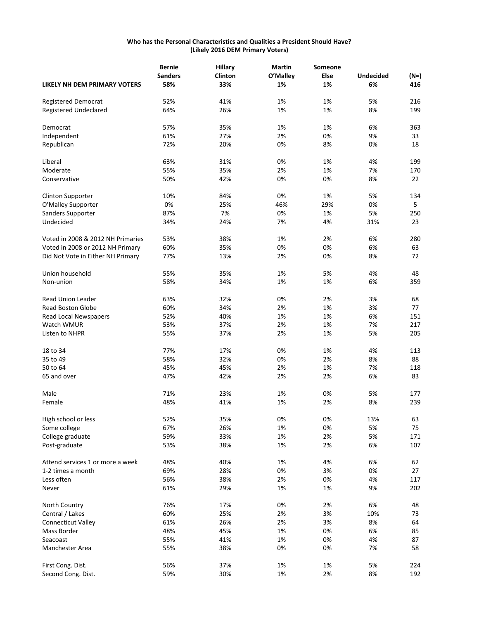## **Who has the Personal Characteristics and Qualities a President Should Have? (Likely 2016 DEM Primary Voters)**

|                                   | <b>Bernie</b>  | <b>Hillary</b> | Martin   | Someone |                  |      |
|-----------------------------------|----------------|----------------|----------|---------|------------------|------|
|                                   | <b>Sanders</b> | Clinton        | O'Malley | Else    | <b>Undecided</b> | (N=) |
| LIKELY NH DEM PRIMARY VOTERS      | 58%            | 33%            | 1%       | 1%      | 6%               | 416  |
| <b>Registered Democrat</b>        | 52%            | 41%            | 1%       | 1%      | 5%               | 216  |
| <b>Registered Undeclared</b>      | 64%            | 26%            | 1%       | 1%      | 8%               | 199  |
| Democrat                          | 57%            | 35%            | 1%       | 1%      | 6%               | 363  |
| Independent                       | 61%            | 27%            | 2%       | 0%      | 9%               | 33   |
| Republican                        | 72%            | 20%            | 0%       | 8%      | 0%               | 18   |
|                                   |                |                |          |         |                  |      |
| Liberal                           | 63%            | 31%            | 0%       | 1%      | 4%               | 199  |
| Moderate                          | 55%            | 35%            | 2%       | 1%      | 7%               | 170  |
| Conservative                      | 50%            | 42%            | 0%       | 0%      | 8%               | 22   |
| <b>Clinton Supporter</b>          | 10%            | 84%            | 0%       | 1%      | 5%               | 134  |
| O'Malley Supporter                | 0%             | 25%            | 46%      | 29%     | 0%               | 5    |
| Sanders Supporter                 | 87%            | 7%             | 0%       | 1%      | 5%               | 250  |
| Undecided                         | 34%            | 24%            | 7%       | 4%      | 31%              | 23   |
| Voted in 2008 & 2012 NH Primaries | 53%            | 38%            | 1%       | 2%      | 6%               | 280  |
| Voted in 2008 or 2012 NH Primary  | 60%            | 35%            | 0%       | 0%      | 6%               | 63   |
| Did Not Vote in Either NH Primary | 77%            | 13%            | 2%       | 0%      | 8%               | 72   |
|                                   |                |                |          |         |                  |      |
| Union household                   | 55%            | 35%            | 1%       | 5%      | 4%               | 48   |
| Non-union                         | 58%            | 34%            | 1%       | 1%      | 6%               | 359  |
| <b>Read Union Leader</b>          | 63%            | 32%            | 0%       | 2%      | 3%               | 68   |
| <b>Read Boston Globe</b>          | 60%            | 34%            | 2%       | 1%      | 3%               | 77   |
| Read Local Newspapers             | 52%            | 40%            | 1%       | 1%      | 6%               | 151  |
| Watch WMUR                        | 53%            | 37%            | 2%       | 1%      | 7%               | 217  |
| Listen to NHPR                    | 55%            | 37%            | 2%       | 1%      | 5%               | 205  |
| 18 to 34                          | 77%            | 17%            | 0%       | 1%      | 4%               | 113  |
| 35 to 49                          | 58%            | 32%            | 0%       | 2%      | 8%               | 88   |
| 50 to 64                          | 45%            | 45%            | 2%       | 1%      | 7%               | 118  |
| 65 and over                       | 47%            | 42%            | 2%       | 2%      | 6%               | 83   |
| Male                              | 71%            | 23%            | 1%       | 0%      | 5%               | 177  |
| Female                            | 48%            | 41%            | 1%       | 2%      | 8%               | 239  |
|                                   |                |                |          |         |                  |      |
| High school or less               | 52%            | 35%            | 0%       | 0%      | 13%              | 63   |
| Some college                      | 67%            | 26%            | 1%       | 0%      | 5%               | 75   |
| College graduate                  | 59%            | 33%            | 1%       | 2%      | 5%               | 171  |
| Post-graduate                     | 53%            | 38%            | 1%       | 2%      | 6%               | 107  |
| Attend services 1 or more a week  | 48%            | 40%            | 1%       | 4%      | 6%               | 62   |
| 1-2 times a month                 | 69%            | 28%            | 0%       | 3%      | 0%               | 27   |
| Less often                        | 56%            | 38%            | 2%       | 0%      | 4%               | 117  |
| Never                             | 61%            | 29%            | 1%       | 1%      | 9%               | 202  |
| North Country                     | 76%            | 17%            | 0%       | 2%      | 6%               | 48   |
| Central / Lakes                   | 60%            | 25%            | 2%       | 3%      | 10%              | 73   |
| <b>Connecticut Valley</b>         | 61%            | 26%            | 2%       | 3%      | 8%               | 64   |
| Mass Border                       | 48%            | 45%            | 1%       | 0%      | 6%               | 85   |
| Seacoast                          | 55%            | 41%            | 1%       | 0%      | 4%               | 87   |
| Manchester Area                   | 55%            | 38%            | 0%       | 0%      | 7%               | 58   |
| First Cong. Dist.                 | 56%            | 37%            | 1%       | 1%      | 5%               | 224  |
| Second Cong. Dist.                | 59%            | 30%            | 1%       | 2%      | 8%               | 192  |
|                                   |                |                |          |         |                  |      |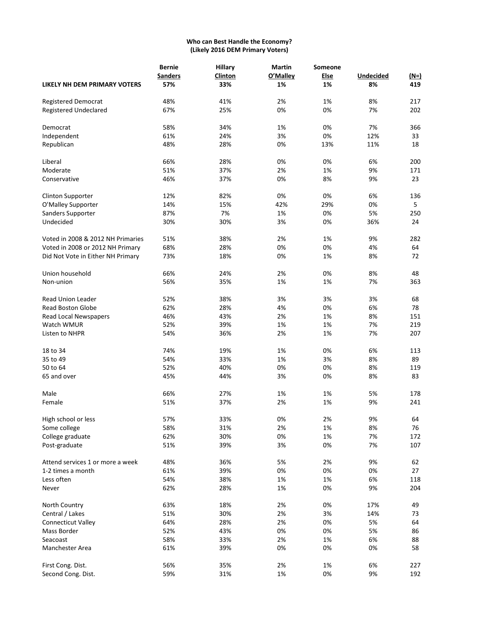## **Who can Best Handle the Economy? (Likely 2016 DEM Primary Voters)**

|                                   | <b>Bernie</b>  | <b>Hillary</b> | <b>Martin</b> | Someone |                  |        |  |  |
|-----------------------------------|----------------|----------------|---------------|---------|------------------|--------|--|--|
|                                   | <b>Sanders</b> | Clinton        | O'Malley      | Else    | <b>Undecided</b> | $(M=)$ |  |  |
| LIKELY NH DEM PRIMARY VOTERS      | 57%            | 33%            | 1%            | 1%      | 8%               | 419    |  |  |
| Registered Democrat               | 48%            | 41%            | 2%            | 1%      | 8%               | 217    |  |  |
| <b>Registered Undeclared</b>      | 67%            | 25%            | 0%            | 0%      | 7%               | 202    |  |  |
| Democrat                          | 58%            | 34%            | 1%            | 0%      | 7%               | 366    |  |  |
| Independent                       | 61%            | 24%            | 3%            | 0%      | 12%              | 33     |  |  |
| Republican                        | 48%            | 28%            | 0%            | 13%     | 11%              | 18     |  |  |
| Liberal                           | 66%            | 28%            | 0%            | 0%      | 6%               | 200    |  |  |
| Moderate                          | 51%            | 37%            | 2%            | 1%      | 9%               | 171    |  |  |
| Conservative                      | 46%            | 37%            | 0%            | 8%      | 9%               | 23     |  |  |
| <b>Clinton Supporter</b>          | 12%            | 82%            | 0%            | 0%      | 6%               | 136    |  |  |
| O'Malley Supporter                | 14%            | 15%            | 42%           | 29%     | 0%               | 5      |  |  |
| Sanders Supporter                 | 87%            | 7%             | 1%            | 0%      | 5%               | 250    |  |  |
| Undecided                         | 30%            | 30%            | 3%            | 0%      | 36%              | 24     |  |  |
| Voted in 2008 & 2012 NH Primaries | 51%            | 38%            | 2%            | 1%      | 9%               | 282    |  |  |
| Voted in 2008 or 2012 NH Primary  | 68%            | 28%            | 0%            | 0%      | 4%               | 64     |  |  |
| Did Not Vote in Either NH Primary | 73%            | 18%            | 0%            | 1%      | 8%               | 72     |  |  |
| Union household                   | 66%            | 24%            | 2%            | 0%      | 8%               | 48     |  |  |
| Non-union                         | 56%            | 35%            | 1%            | 1%      | 7%               | 363    |  |  |
| <b>Read Union Leader</b>          | 52%            | 38%            | 3%            | 3%      | 3%               | 68     |  |  |
| Read Boston Globe                 | 62%            | 28%            | 4%            | 0%      | 6%               | 78     |  |  |
| Read Local Newspapers             | 46%            | 43%            | 2%            | 1%      | 8%               | 151    |  |  |
| Watch WMUR                        | 52%            | 39%            | 1%            | 1%      | 7%               | 219    |  |  |
| Listen to NHPR                    | 54%            | 36%            | 2%            | 1%      | 7%               | 207    |  |  |
| 18 to 34                          | 74%            | 19%            | 1%            | 0%      | 6%               | 113    |  |  |
| 35 to 49                          | 54%            | 33%            | 1%            | 3%      | 8%               | 89     |  |  |
| 50 to 64                          | 52%            | 40%            | 0%            | 0%      | 8%               | 119    |  |  |
| 65 and over                       | 45%            | 44%            | 3%            | 0%      | 8%               | 83     |  |  |
| Male                              | 66%            | 27%            | 1%            | 1%      | 5%               | 178    |  |  |
| Female                            | 51%            | 37%            | 2%            | 1%      | 9%               | 241    |  |  |
| High school or less               | 57%            | 33%            | 0%            | 2%      | 9%               | 64     |  |  |
| Some college                      | 58%            | 31%            | 2%            | 1%      | 8%               | 76     |  |  |
| College graduate                  | 62%            | 30%            | 0%            | 1%      | 7%               | 172    |  |  |
| Post-graduate                     | 51%            | 39%            | 3%            | 0%      | 7%               | 107    |  |  |
| Attend services 1 or more a week  | 48%            | 36%            | 5%            | 2%      | 9%               | 62     |  |  |
| 1-2 times a month                 | 61%            | 39%            | 0%            | 0%      | 0%               | 27     |  |  |
| Less often                        | 54%            | 38%            | 1%            | 1%      | 6%               | 118    |  |  |
| Never                             | 62%            | 28%            | 1%            | 0%      | 9%               | 204    |  |  |
| North Country                     | 63%            | 18%            | 2%            | 0%      | 17%              | 49     |  |  |
| Central / Lakes                   | 51%            | 30%            | 2%            | 3%      | 14%              | 73     |  |  |
| <b>Connecticut Valley</b>         | 64%            | 28%            | 2%            | 0%      | 5%               | 64     |  |  |
| Mass Border                       | 52%            | 43%            | 0%            | 0%      | 5%               | 86     |  |  |
| Seacoast                          | 58%            | 33%            | 2%            | 1%      | 6%               | 88     |  |  |
| Manchester Area                   | 61%            | 39%            | 0%            | 0%      | 0%               | 58     |  |  |
| First Cong. Dist.                 | 56%            | 35%            | 2%            | 1%      | 6%               | 227    |  |  |
| Second Cong. Dist.                | 59%            | 31%            | 1%            | 0%      | 9%               | 192    |  |  |
|                                   |                |                |               |         |                  |        |  |  |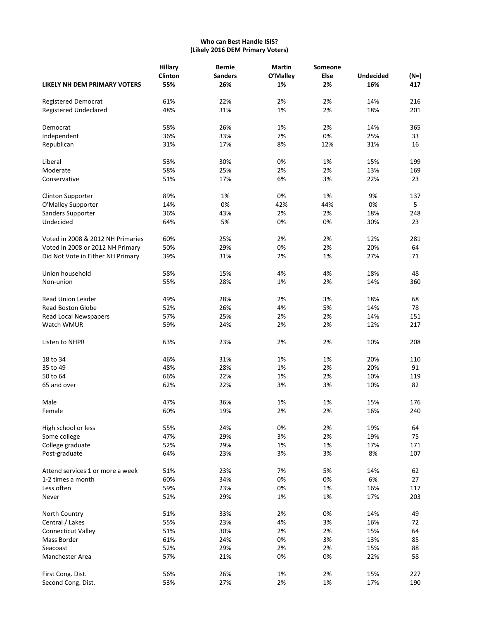## **Who can Best Handle ISIS? (Likely 2016 DEM Primary Voters)**

| LIKELY NH DEM PRIMARY VOTERS      | <b>Hillary</b><br>Clinton<br>55% | <b>Bernie</b><br><b>Sanders</b><br>26% | <b>Martin</b><br>O'Malley<br>1% | Someone<br><b>Else</b><br>2% | <b>Undecided</b><br>16% | $(N=)$<br>417 |
|-----------------------------------|----------------------------------|----------------------------------------|---------------------------------|------------------------------|-------------------------|---------------|
|                                   |                                  |                                        |                                 |                              |                         |               |
| <b>Registered Democrat</b>        | 61%                              | 22%                                    | 2%                              | 2%                           | 14%                     | 216           |
| Registered Undeclared             | 48%                              | 31%                                    | 1%                              | 2%                           | 18%                     | 201           |
| Democrat                          | 58%                              | 26%                                    | 1%                              | 2%                           | 14%                     | 365           |
| Independent                       | 36%                              | 33%                                    | 7%                              | 0%                           | 25%                     | 33            |
| Republican                        | 31%                              | 17%                                    | 8%                              | 12%                          | 31%                     | 16            |
| Liberal                           | 53%                              | 30%                                    | 0%                              | 1%                           | 15%                     | 199           |
| Moderate                          | 58%                              | 25%                                    | 2%                              | 2%                           | 13%                     | 169           |
| Conservative                      | 51%                              | 17%                                    | 6%                              | 3%                           | 22%                     | 23            |
| <b>Clinton Supporter</b>          | 89%                              | 1%                                     | 0%                              | 1%                           | 9%                      | 137           |
| O'Malley Supporter                | 14%                              | 0%                                     | 42%                             | 44%                          | 0%                      | 5             |
| Sanders Supporter                 | 36%                              | 43%                                    | 2%                              | 2%                           | 18%                     | 248           |
| Undecided                         | 64%                              | 5%                                     | 0%                              | 0%                           | 30%                     | 23            |
| Voted in 2008 & 2012 NH Primaries | 60%                              | 25%                                    | 2%                              | 2%                           | 12%                     | 281           |
| Voted in 2008 or 2012 NH Primary  | 50%                              | 29%                                    | 0%                              | 2%                           | 20%                     | 64            |
| Did Not Vote in Either NH Primary | 39%                              | 31%                                    | 2%                              | 1%                           | 27%                     | 71            |
|                                   |                                  |                                        |                                 |                              |                         |               |
| Union household                   | 58%                              | 15%                                    | 4%                              | 4%                           | 18%                     | 48            |
| Non-union                         | 55%                              | 28%                                    | 1%                              | 2%                           | 14%                     | 360           |
| <b>Read Union Leader</b>          | 49%                              | 28%                                    | 2%                              | 3%                           | 18%                     | 68            |
| <b>Read Boston Globe</b>          | 52%                              | 26%                                    | 4%                              | 5%                           | 14%                     | 78            |
| Read Local Newspapers             | 57%                              | 25%                                    | 2%                              | 2%                           | 14%                     | 151           |
| Watch WMUR                        | 59%                              | 24%                                    | 2%                              | 2%                           | 12%                     | 217           |
| Listen to NHPR                    | 63%                              | 23%                                    | 2%                              | 2%                           | 10%                     | 208           |
| 18 to 34                          | 46%                              | 31%                                    | 1%                              | 1%                           | 20%                     | 110           |
| 35 to 49                          | 48%                              | 28%                                    | 1%                              | 2%                           | 20%                     | 91            |
| 50 to 64                          | 66%                              | 22%                                    | 1%                              | 2%                           | 10%                     | 119           |
| 65 and over                       | 62%                              | 22%                                    | 3%                              | 3%                           | 10%                     | 82            |
| Male                              | 47%                              | 36%                                    | 1%                              | 1%                           | 15%                     | 176           |
| Female                            | 60%                              | 19%                                    | 2%                              | 2%                           | 16%                     | 240           |
|                                   |                                  |                                        |                                 |                              |                         |               |
| High school or less               | 55%                              | 24%                                    | 0%                              | 2%                           | 19%                     | 64            |
| Some college                      | 47%                              | 29%                                    | 3%                              | 2%                           | 19%                     | 75            |
| College graduate                  | 52%                              | 29%                                    | 1%                              | 1%                           | 17%                     | 171           |
| Post-graduate                     | 64%                              | 23%                                    | 3%                              | 3%                           | 8%                      | 107           |
| Attend services 1 or more a week  | 51%                              | 23%                                    | 7%                              | 5%                           | 14%                     | 62            |
| 1-2 times a month                 | 60%                              | 34%                                    | 0%                              | 0%                           | 6%                      | 27            |
| Less often                        | 59%                              | 23%                                    | 0%                              | 1%                           | 16%                     | 117           |
| Never                             | 52%                              | 29%                                    | 1%                              | 1%                           | 17%                     | 203           |
| North Country                     | 51%                              | 33%                                    | 2%                              | 0%                           | 14%                     | 49            |
| Central / Lakes                   | 55%                              | 23%                                    | 4%                              | 3%                           | 16%                     | 72            |
| Connecticut Valley                | 51%                              | 30%                                    | 2%                              | 2%                           | 15%                     | 64            |
| Mass Border                       | 61%                              | 24%                                    | 0%                              | 3%                           | 13%                     | 85            |
| Seacoast                          | 52%                              | 29%                                    | 2%                              | 2%                           | 15%                     | 88            |
| Manchester Area                   | 57%                              | 21%                                    | 0%                              | 0%                           | 22%                     | 58            |
| First Cong. Dist.                 | 56%                              | 26%                                    | 1%                              | 2%                           | 15%                     | 227           |
| Second Cong. Dist.                | 53%                              | 27%                                    | 2%                              | 1%                           | 17%                     | 190           |
|                                   |                                  |                                        |                                 |                              |                         |               |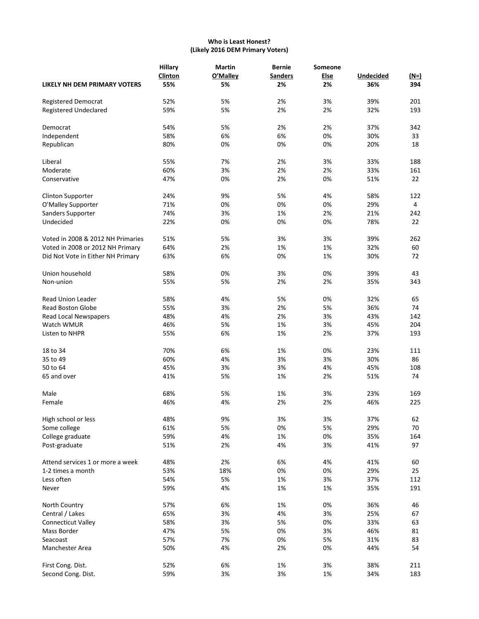## **Who is Least Honest? (Likely 2016 DEM Primary Voters)**

| LIKELY NH DEM PRIMARY VOTERS      | Hillary<br><b>Clinton</b><br>55% | <b>Martin</b><br>O'Malley<br>5% | <b>Bernie</b><br><b>Sanders</b><br>2% | Someone<br><b>Else</b><br>2% | Undecided<br>36% | $(M=)$<br>394  |
|-----------------------------------|----------------------------------|---------------------------------|---------------------------------------|------------------------------|------------------|----------------|
|                                   |                                  |                                 |                                       |                              |                  |                |
| <b>Registered Democrat</b>        | 52%                              | 5%                              | 2%                                    | 3%                           | 39%              | 201            |
| <b>Registered Undeclared</b>      | 59%                              | 5%                              | 2%                                    | 2%                           | 32%              | 193            |
| Democrat                          | 54%                              | 5%                              | 2%                                    | 2%                           | 37%              | 342            |
| Independent                       | 58%                              | 6%                              | 6%                                    | 0%                           | 30%              | 33             |
| Republican                        | 80%                              | 0%                              | 0%                                    | 0%                           | 20%              | 18             |
| Liberal                           | 55%                              | 7%                              | 2%                                    | 3%                           | 33%              | 188            |
| Moderate                          | 60%                              | 3%                              | 2%                                    | 2%                           | 33%              | 161            |
| Conservative                      | 47%                              | 0%                              | 2%                                    | 0%                           | 51%              | 22             |
| <b>Clinton Supporter</b>          | 24%                              | 9%                              | 5%                                    | 4%                           | 58%              | 122            |
| O'Malley Supporter                | 71%                              | 0%                              | 0%                                    | 0%                           | 29%              | $\overline{4}$ |
| Sanders Supporter                 | 74%                              | 3%                              | 1%                                    | 2%                           | 21%              | 242            |
| Undecided                         | 22%                              | 0%                              | 0%                                    | 0%                           | 78%              | 22             |
| Voted in 2008 & 2012 NH Primaries | 51%                              | 5%                              | 3%                                    | 3%                           | 39%              | 262            |
|                                   |                                  |                                 |                                       |                              |                  |                |
| Voted in 2008 or 2012 NH Primary  | 64%                              | 2%                              | 1%                                    | 1%                           | 32%              | 60             |
| Did Not Vote in Either NH Primary | 63%                              | 6%                              | 0%                                    | 1%                           | 30%              | 72             |
| Union household                   | 58%                              | 0%                              | 3%                                    | 0%                           | 39%              | 43             |
| Non-union                         | 55%                              | 5%                              | 2%                                    | 2%                           | 35%              | 343            |
| <b>Read Union Leader</b>          | 58%                              | 4%                              | 5%                                    | 0%                           | 32%              | 65             |
| <b>Read Boston Globe</b>          | 55%                              | 3%                              | 2%                                    | 5%                           | 36%              | 74             |
| Read Local Newspapers             | 48%                              | 4%                              | 2%                                    | 3%                           | 43%              | 142            |
| Watch WMUR                        | 46%                              | 5%                              | 1%                                    | 3%                           | 45%              | 204            |
| Listen to NHPR                    | 55%                              | 6%                              | 1%                                    | 2%                           | 37%              | 193            |
| 18 to 34                          | 70%                              | 6%                              | 1%                                    | 0%                           | 23%              | 111            |
| 35 to 49                          | 60%                              | 4%                              | 3%                                    | 3%                           | 30%              | 86             |
| 50 to 64                          | 45%                              | 3%                              | 3%                                    | 4%                           | 45%              | 108            |
| 65 and over                       | 41%                              | 5%                              | 1%                                    | 2%                           | 51%              | 74             |
| Male                              | 68%                              | 5%                              | 1%                                    | 3%                           | 23%              | 169            |
| Female                            | 46%                              | 4%                              | 2%                                    | 2%                           | 46%              | 225            |
| High school or less               | 48%                              | 9%                              | 3%                                    | 3%                           | 37%              | 62             |
| Some college                      | 61%                              | 5%                              | 0%                                    | 5%                           | 29%              | $70\,$         |
| College graduate                  | 59%                              | 4%                              | 1%                                    | 0%                           | 35%              | 164            |
| Post-graduate                     | 51%                              | 2%                              | 4%                                    | 3%                           | 41%              | 97             |
| Attend services 1 or more a week  | 48%                              | 2%                              | 6%                                    | 4%                           | 41%              | 60             |
| 1-2 times a month                 | 53%                              | 18%                             | 0%                                    | 0%                           | 29%              | 25             |
|                                   |                                  |                                 |                                       |                              |                  |                |
| Less often                        | 54%                              | 5%                              | 1%                                    | 3%                           | 37%              | 112            |
| Never                             | 59%                              | 4%                              | 1%                                    | 1%                           | 35%              | 191            |
| North Country                     | 57%                              | 6%                              | 1%                                    | 0%                           | 36%              | 46             |
| Central / Lakes                   | 65%                              | 3%                              | 4%                                    | 3%                           | 25%              | 67             |
| <b>Connecticut Valley</b>         | 58%                              | 3%                              | 5%                                    | 0%                           | 33%              | 63             |
| Mass Border                       | 47%                              | 5%                              | 0%                                    | 3%                           | 46%              | 81             |
| Seacoast                          | 57%                              | 7%                              | 0%                                    | 5%                           | 31%              | 83             |
| Manchester Area                   | 50%                              | 4%                              | 2%                                    | 0%                           | 44%              | 54             |
| First Cong. Dist.                 | 52%                              | 6%                              | 1%                                    | 3%                           | 38%              | 211            |
| Second Cong. Dist.                | 59%                              | 3%                              | 3%                                    | 1%                           | 34%              | 183            |